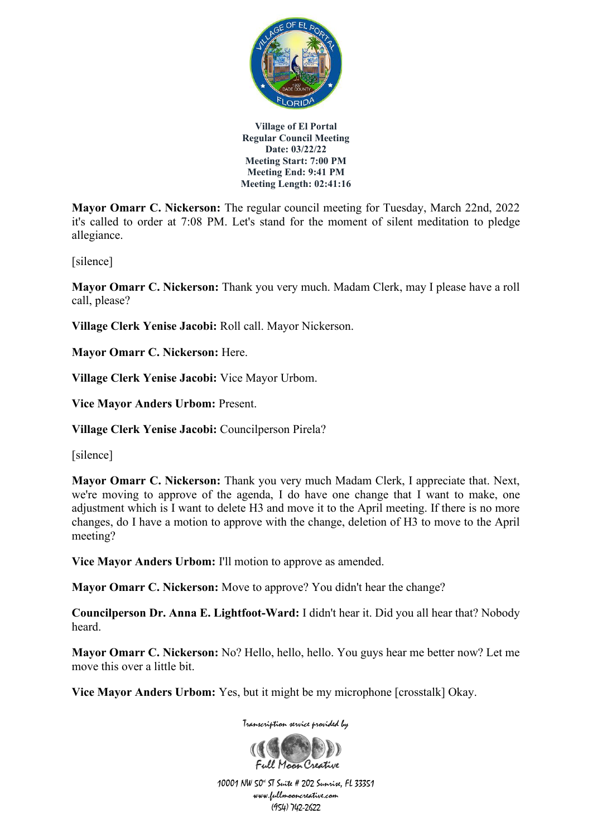

**Mayor Omarr C. Nickerson:** The regular council meeting for Tuesday, March 22nd, 2022 it's called to order at 7:08 PM. Let's stand for the moment of silent meditation to pledge allegiance.

[silence]

**Mayor Omarr C. Nickerson:** Thank you very much. Madam Clerk, may I please have a roll call, please?

**Village Clerk Yenise Jacobi:** Roll call. Mayor Nickerson.

**Mayor Omarr C. Nickerson:** Here.

**Village Clerk Yenise Jacobi:** Vice Mayor Urbom.

**Vice Mayor Anders Urbom:** Present.

**Village Clerk Yenise Jacobi:** Councilperson Pirela?

[silence]

**Mayor Omarr C. Nickerson:** Thank you very much Madam Clerk, I appreciate that. Next, we're moving to approve of the agenda, I do have one change that I want to make, one adjustment which is I want to delete H3 and move it to the April meeting. If there is no more changes, do I have a motion to approve with the change, deletion of H3 to move to the April meeting?

**Vice Mayor Anders Urbom:** I'll motion to approve as amended.

**Mayor Omarr C. Nickerson:** Move to approve? You didn't hear the change?

**Councilperson Dr. Anna E. Lightfoot-Ward:** I didn't hear it. Did you all hear that? Nobody heard.

**Mayor Omarr C. Nickerson:** No? Hello, hello, hello. You guys hear me better now? Let me move this over a little bit.

**Vice Mayor Anders Urbom:** Yes, but it might be my microphone [crosstalk] Okay.

Transcription service provided by

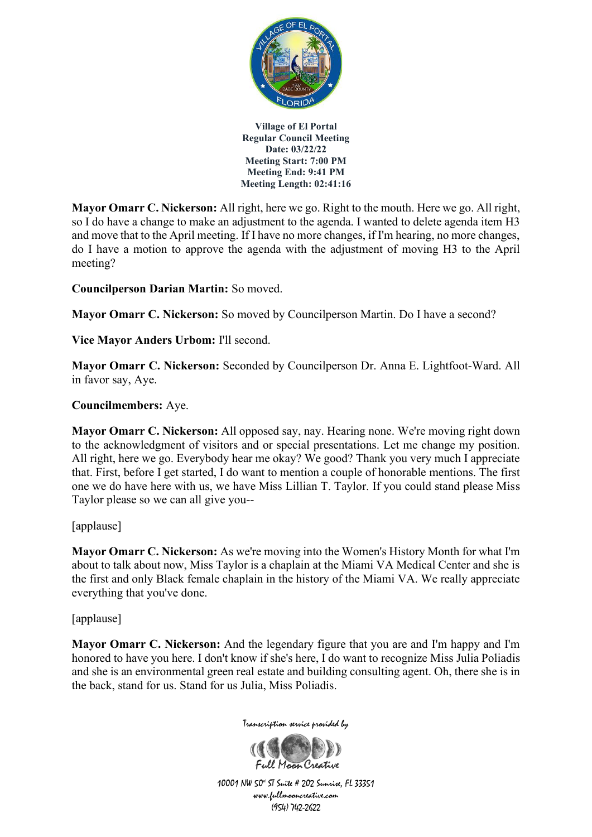

**Mayor Omarr C. Nickerson:** All right, here we go. Right to the mouth. Here we go. All right, so I do have a change to make an adjustment to the agenda. I wanted to delete agenda item H3 and move that to the April meeting. If I have no more changes, if I'm hearing, no more changes, do I have a motion to approve the agenda with the adjustment of moving H3 to the April meeting?

**Councilperson Darian Martin:** So moved.

**Mayor Omarr C. Nickerson:** So moved by Councilperson Martin. Do I have a second?

**Vice Mayor Anders Urbom:** I'll second.

**Mayor Omarr C. Nickerson:** Seconded by Councilperson Dr. Anna E. Lightfoot-Ward. All in favor say, Aye.

#### **Councilmembers:** Aye.

**Mayor Omarr C. Nickerson:** All opposed say, nay. Hearing none. We're moving right down to the acknowledgment of visitors and or special presentations. Let me change my position. All right, here we go. Everybody hear me okay? We good? Thank you very much I appreciate that. First, before I get started, I do want to mention a couple of honorable mentions. The first one we do have here with us, we have Miss Lillian T. Taylor. If you could stand please Miss Taylor please so we can all give you--

[applause]

**Mayor Omarr C. Nickerson:** As we're moving into the Women's History Month for what I'm about to talk about now, Miss Taylor is a chaplain at the Miami VA Medical Center and she is the first and only Black female chaplain in the history of the Miami VA. We really appreciate everything that you've done.

[applause]

**Mayor Omarr C. Nickerson:** And the legendary figure that you are and I'm happy and I'm honored to have you here. I don't know if she's here, I do want to recognize Miss Julia Poliadis and she is an environmental green real estate and building consulting agent. Oh, there she is in the back, stand for us. Stand for us Julia, Miss Poliadis.



Transcription service provided by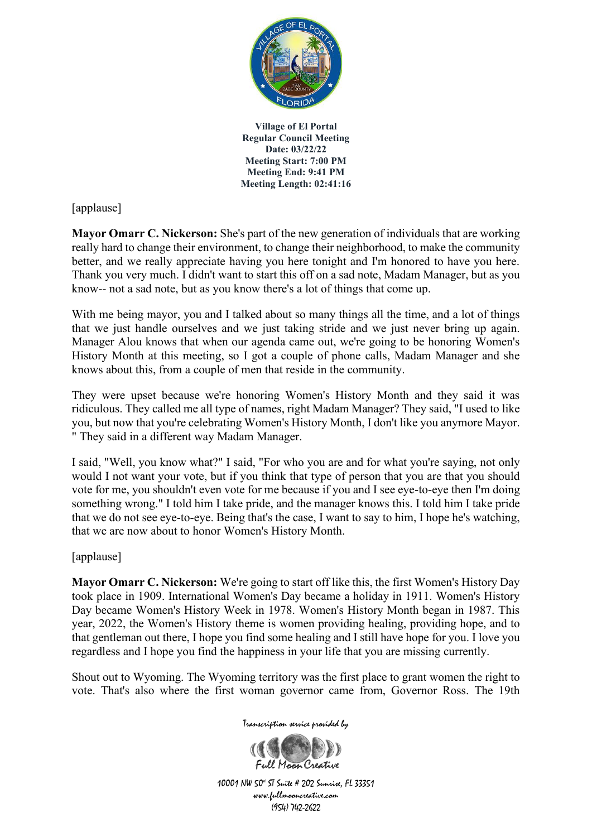

[applause]

**Mayor Omarr C. Nickerson:** She's part of the new generation of individuals that are working really hard to change their environment, to change their neighborhood, to make the community better, and we really appreciate having you here tonight and I'm honored to have you here. Thank you very much. I didn't want to start this off on a sad note, Madam Manager, but as you know-- not a sad note, but as you know there's a lot of things that come up.

With me being mayor, you and I talked about so many things all the time, and a lot of things that we just handle ourselves and we just taking stride and we just never bring up again. Manager Alou knows that when our agenda came out, we're going to be honoring Women's History Month at this meeting, so I got a couple of phone calls, Madam Manager and she knows about this, from a couple of men that reside in the community.

They were upset because we're honoring Women's History Month and they said it was ridiculous. They called me all type of names, right Madam Manager? They said, "I used to like you, but now that you're celebrating Women's History Month, I don't like you anymore Mayor. " They said in a different way Madam Manager.

I said, "Well, you know what?" I said, "For who you are and for what you're saying, not only would I not want your vote, but if you think that type of person that you are that you should vote for me, you shouldn't even vote for me because if you and I see eye-to-eye then I'm doing something wrong." I told him I take pride, and the manager knows this. I told him I take pride that we do not see eye-to-eye. Being that's the case, I want to say to him, I hope he's watching, that we are now about to honor Women's History Month.

[applause]

**Mayor Omarr C. Nickerson:** We're going to start off like this, the first Women's History Day took place in 1909. International Women's Day became a holiday in 1911. Women's History Day became Women's History Week in 1978. Women's History Month began in 1987. This year, 2022, the Women's History theme is women providing healing, providing hope, and to that gentleman out there, I hope you find some healing and I still have hope for you. I love you regardless and I hope you find the happiness in your life that you are missing currently.

Shout out to Wyoming. The Wyoming territory was the first place to grant women the right to vote. That's also where the first woman governor came from, Governor Ross. The 19th

Transcription service provided by

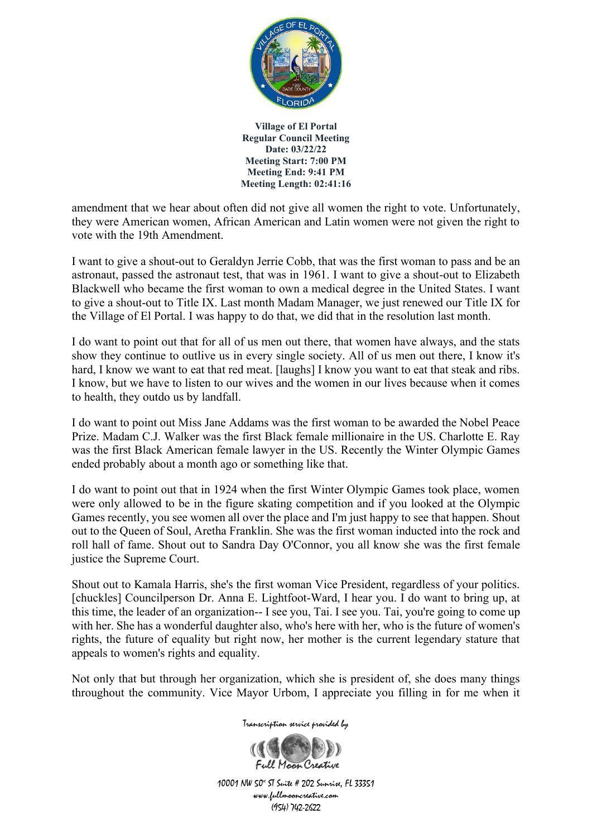

amendment that we hear about often did not give all women the right to vote. Unfortunately, they were American women, African American and Latin women were not given the right to vote with the 19th Amendment.

I want to give a shout-out to Geraldyn Jerrie Cobb, that was the first woman to pass and be an astronaut, passed the astronaut test, that was in 1961. I want to give a shout-out to Elizabeth Blackwell who became the first woman to own a medical degree in the United States. I want to give a shout-out to Title IX. Last month Madam Manager, we just renewed our Title IX for the Village of El Portal. I was happy to do that, we did that in the resolution last month.

I do want to point out that for all of us men out there, that women have always, and the stats show they continue to outlive us in every single society. All of us men out there, I know it's hard, I know we want to eat that red meat. [laughs] I know you want to eat that steak and ribs. I know, but we have to listen to our wives and the women in our lives because when it comes to health, they outdo us by landfall.

I do want to point out Miss Jane Addams was the first woman to be awarded the Nobel Peace Prize. Madam C.J. Walker was the first Black female millionaire in the US. Charlotte E. Ray was the first Black American female lawyer in the US. Recently the Winter Olympic Games ended probably about a month ago or something like that.

I do want to point out that in 1924 when the first Winter Olympic Games took place, women were only allowed to be in the figure skating competition and if you looked at the Olympic Games recently, you see women all over the place and I'm just happy to see that happen. Shout out to the Queen of Soul, Aretha Franklin. She was the first woman inducted into the rock and roll hall of fame. Shout out to Sandra Day O'Connor, you all know she was the first female justice the Supreme Court.

Shout out to Kamala Harris, she's the first woman Vice President, regardless of your politics. [chuckles] Councilperson Dr. Anna E. Lightfoot-Ward, I hear you. I do want to bring up, at this time, the leader of an organization-- I see you, Tai. I see you. Tai, you're going to come up with her. She has a wonderful daughter also, who's here with her, who is the future of women's rights, the future of equality but right now, her mother is the current legendary stature that appeals to women's rights and equality.

Not only that but through her organization, which she is president of, she does many things throughout the community. Vice Mayor Urbom, I appreciate you filling in for me when it

Transcription service provided by

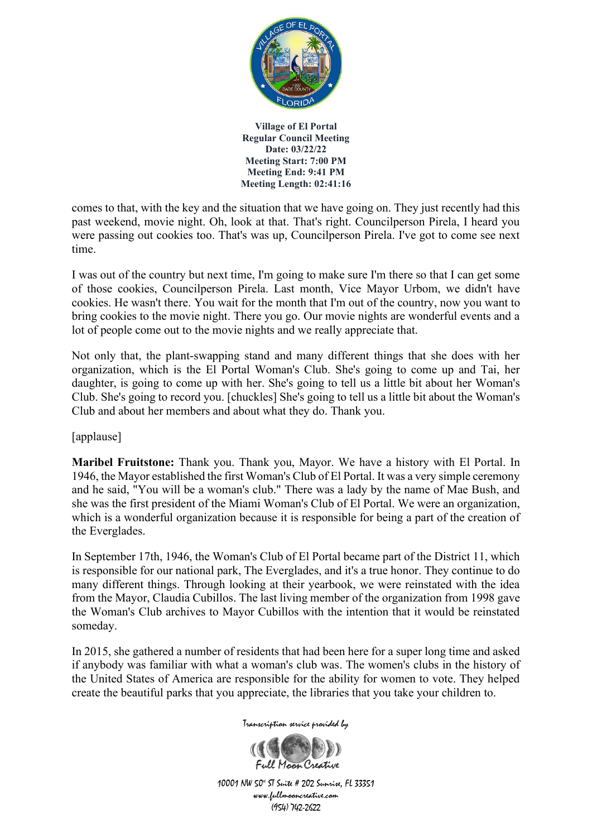

comes to that, with the key and the situation that we have going on. They just recently had this past weekend, movie night. Oh, look at that. That's right. Councilperson Pirela, I heard you were passing out cookies too. That's was up, Councilperson Pirela. I've got to come see next time.

I was out of the country but next time, I'm going to make sure I'm there so that I can get some of those cookies, Councilperson Pirela. Last month, Vice Mayor Urbom, we didn't have cookies. He wasn't there. You wait for the month that I'm out of the country, now you want to bring cookies to the movie night. There you go. Our movie nights are wonderful events and a lot of people come out to the movie nights and we really appreciate that.

Not only that, the plant-swapping stand and many different things that she does with her organization, which is the El Portal Woman's Club. She's going to come up and Tai, her daughter, is going to come up with her. She's going to tell us a little bit about her Woman's Club. She's going to record you. [chuckles] She's going to tell us a little bit about the Woman's Club and about her members and about what they do. Thank you.

[applause]

**Maribel Fruitstone:** Thank you. Thank you, Mayor. We have a history with El Portal. In 1946, the Mayor established the first Woman's Club of El Portal. It was a very simple ceremony and he said, "You will be a woman's club." There was a lady by the name of Mae Bush, and she was the first president of the Miami Woman's Club of El Portal. We were an organization, which is a wonderful organization because it is responsible for being a part of the creation of the Everglades.

In September 17th, 1946, the Woman's Club of El Portal became part of the District 11, which is responsible for our national park, The Everglades, and it's a true honor. They continue to do many different things. Through looking at their yearbook, we were reinstated with the idea from the Mayor, Claudia Cubillos. The last living member of the organization from 1998 gave the Woman's Club archives to Mayor Cubillos with the intention that it would be reinstated someday.

In 2015, she gathered a number of residents that had been here for a super long time and asked if anybody was familiar with what a woman's club was. The women's clubs in the history of the United States of America are responsible for the ability for women to vote. They helped create the beautiful parks that you appreciate, the libraries that you take your children to.

Transcription service provided by

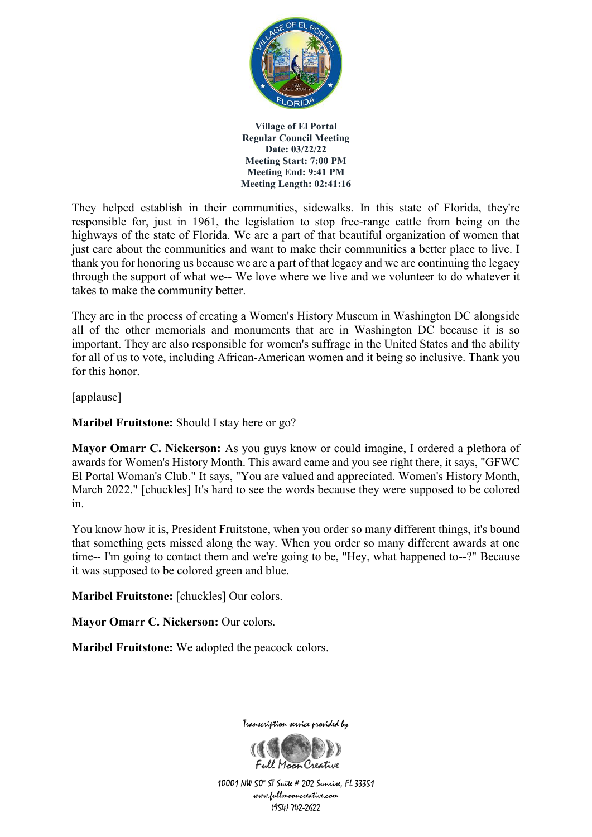

They helped establish in their communities, sidewalks. In this state of Florida, they're responsible for, just in 1961, the legislation to stop free-range cattle from being on the highways of the state of Florida. We are a part of that beautiful organization of women that just care about the communities and want to make their communities a better place to live. I thank you for honoring us because we are a part of that legacy and we are continuing the legacy through the support of what we-- We love where we live and we volunteer to do whatever it takes to make the community better.

They are in the process of creating a Women's History Museum in Washington DC alongside all of the other memorials and monuments that are in Washington DC because it is so important. They are also responsible for women's suffrage in the United States and the ability for all of us to vote, including African-American women and it being so inclusive. Thank you for this honor.

[applause]

**Maribel Fruitstone:** Should I stay here or go?

**Mayor Omarr C. Nickerson:** As you guys know or could imagine, I ordered a plethora of awards for Women's History Month. This award came and you see right there, it says, "GFWC El Portal Woman's Club." It says, "You are valued and appreciated. Women's History Month, March 2022." [chuckles] It's hard to see the words because they were supposed to be colored in.

You know how it is, President Fruitstone, when you order so many different things, it's bound that something gets missed along the way. When you order so many different awards at one time-- I'm going to contact them and we're going to be, "Hey, what happened to--?" Because it was supposed to be colored green and blue.

**Maribel Fruitstone:** [chuckles] Our colors.

**Mayor Omarr C. Nickerson: Our colors.** 

**Maribel Fruitstone:** We adopted the peacock colors.



Transcription service provided by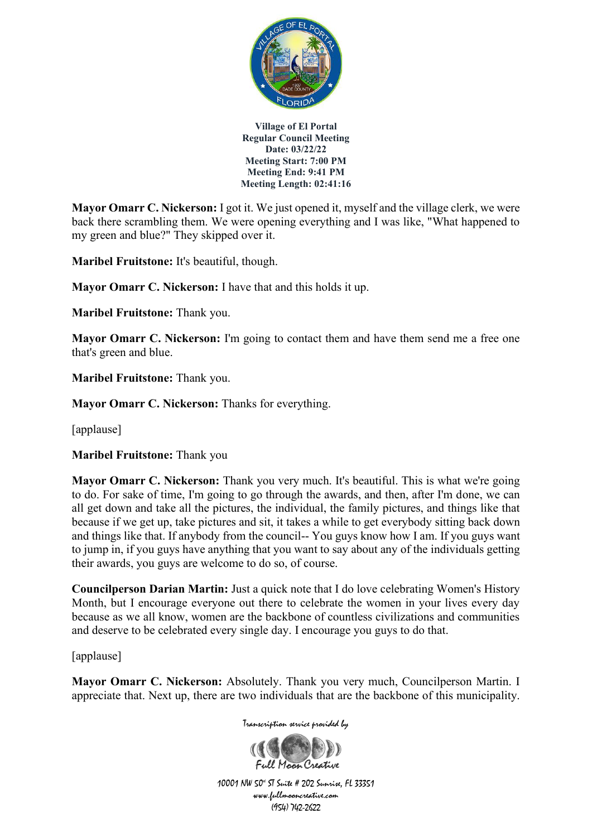

**Mayor Omarr C. Nickerson:** I got it. We just opened it, myself and the village clerk, we were back there scrambling them. We were opening everything and I was like, "What happened to my green and blue?" They skipped over it.

**Maribel Fruitstone:** It's beautiful, though.

**Mayor Omarr C. Nickerson:** I have that and this holds it up.

**Maribel Fruitstone:** Thank you.

**Mayor Omarr C. Nickerson:** I'm going to contact them and have them send me a free one that's green and blue.

**Maribel Fruitstone:** Thank you.

**Mayor Omarr C. Nickerson:** Thanks for everything.

[applause]

**Maribel Fruitstone:** Thank you

**Mayor Omarr C. Nickerson:** Thank you very much. It's beautiful. This is what we're going to do. For sake of time, I'm going to go through the awards, and then, after I'm done, we can all get down and take all the pictures, the individual, the family pictures, and things like that because if we get up, take pictures and sit, it takes a while to get everybody sitting back down and things like that. If anybody from the council-- You guys know how I am. If you guys want to jump in, if you guys have anything that you want to say about any of the individuals getting their awards, you guys are welcome to do so, of course.

**Councilperson Darian Martin:** Just a quick note that I do love celebrating Women's History Month, but I encourage everyone out there to celebrate the women in your lives every day because as we all know, women are the backbone of countless civilizations and communities and deserve to be celebrated every single day. I encourage you guys to do that.

[applause]

**Mayor Omarr C. Nickerson:** Absolutely. Thank you very much, Councilperson Martin. I appreciate that. Next up, there are two individuals that are the backbone of this municipality.

Transcription service provided by

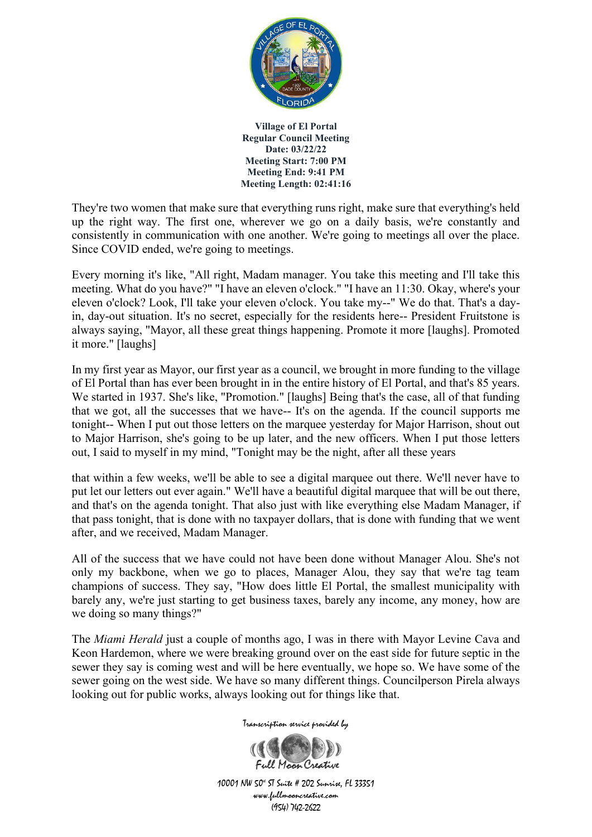

They're two women that make sure that everything runs right, make sure that everything's held up the right way. The first one, wherever we go on a daily basis, we're constantly and consistently in communication with one another. We're going to meetings all over the place. Since COVID ended, we're going to meetings.

Every morning it's like, "All right, Madam manager. You take this meeting and I'll take this meeting. What do you have?" "I have an eleven o'clock." "I have an 11:30. Okay, where's your eleven o'clock? Look, I'll take your eleven o'clock. You take my--" We do that. That's a dayin, day-out situation. It's no secret, especially for the residents here-- President Fruitstone is always saying, "Mayor, all these great things happening. Promote it more [laughs]. Promoted it more." [laughs]

In my first year as Mayor, our first year as a council, we brought in more funding to the village of El Portal than has ever been brought in in the entire history of El Portal, and that's 85 years. We started in 1937. She's like, "Promotion." [laughs] Being that's the case, all of that funding that we got, all the successes that we have-- It's on the agenda. If the council supports me tonight-- When I put out those letters on the marquee yesterday for Major Harrison, shout out to Major Harrison, she's going to be up later, and the new officers. When I put those letters out, I said to myself in my mind, "Tonight may be the night, after all these years

that within a few weeks, we'll be able to see a digital marquee out there. We'll never have to put let our letters out ever again." We'll have a beautiful digital marquee that will be out there, and that's on the agenda tonight. That also just with like everything else Madam Manager, if that pass tonight, that is done with no taxpayer dollars, that is done with funding that we went after, and we received, Madam Manager.

All of the success that we have could not have been done without Manager Alou. She's not only my backbone, when we go to places, Manager Alou, they say that we're tag team champions of success. They say, "How does little El Portal, the smallest municipality with barely any, we're just starting to get business taxes, barely any income, any money, how are we doing so many things?"

The *Miami Herald* just a couple of months ago, I was in there with Mayor Levine Cava and Keon Hardemon, where we were breaking ground over on the east side for future septic in the sewer they say is coming west and will be here eventually, we hope so. We have some of the sewer going on the west side. We have so many different things. Councilperson Pirela always looking out for public works, always looking out for things like that.

Transcription service provided by

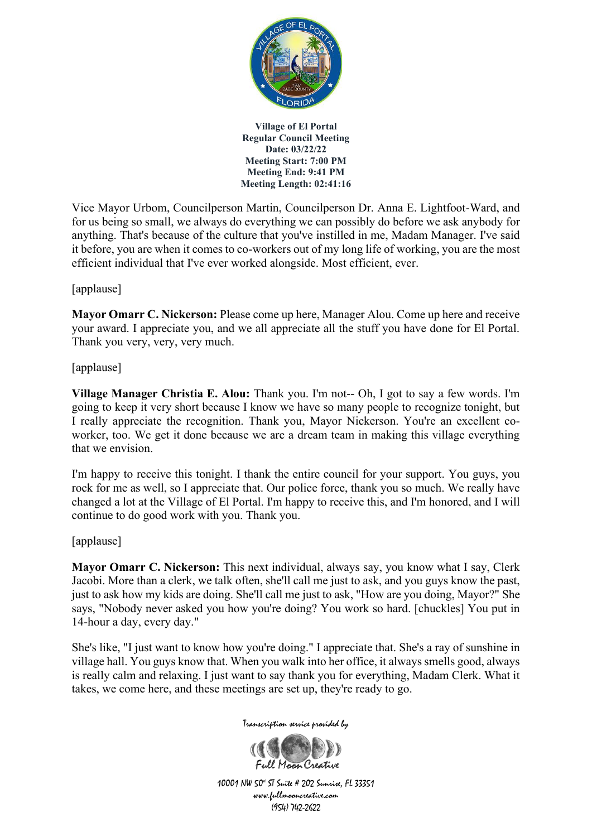

Vice Mayor Urbom, Councilperson Martin, Councilperson Dr. Anna E. Lightfoot-Ward, and for us being so small, we always do everything we can possibly do before we ask anybody for anything. That's because of the culture that you've instilled in me, Madam Manager. I've said it before, you are when it comes to co-workers out of my long life of working, you are the most efficient individual that I've ever worked alongside. Most efficient, ever.

### [applause]

**Mayor Omarr C. Nickerson:** Please come up here, Manager Alou. Come up here and receive your award. I appreciate you, and we all appreciate all the stuff you have done for El Portal. Thank you very, very, very much.

### [applause]

**Village Manager Christia E. Alou:** Thank you. I'm not-- Oh, I got to say a few words. I'm going to keep it very short because I know we have so many people to recognize tonight, but I really appreciate the recognition. Thank you, Mayor Nickerson. You're an excellent coworker, too. We get it done because we are a dream team in making this village everything that we envision.

I'm happy to receive this tonight. I thank the entire council for your support. You guys, you rock for me as well, so I appreciate that. Our police force, thank you so much. We really have changed a lot at the Village of El Portal. I'm happy to receive this, and I'm honored, and I will continue to do good work with you. Thank you.

### [applause]

**Mayor Omarr C. Nickerson:** This next individual, always say, you know what I say, Clerk Jacobi. More than a clerk, we talk often, she'll call me just to ask, and you guys know the past, just to ask how my kids are doing. She'll call me just to ask, "How are you doing, Mayor?" She says, "Nobody never asked you how you're doing? You work so hard. [chuckles] You put in 14-hour a day, every day."

She's like, "I just want to know how you're doing." I appreciate that. She's a ray of sunshine in village hall. You guys know that. When you walk into her office, it always smells good, always is really calm and relaxing. I just want to say thank you for everything, Madam Clerk. What it takes, we come here, and these meetings are set up, they're ready to go.

Transcription service provided by

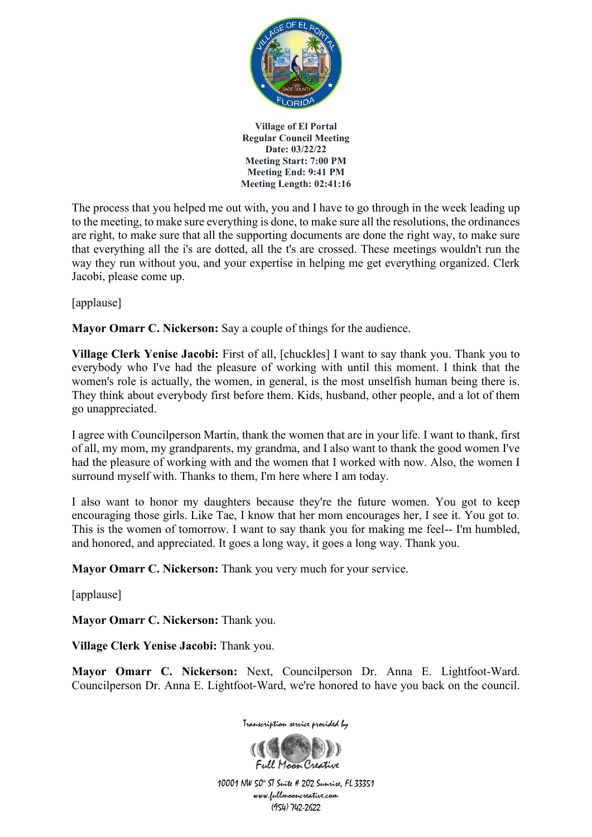

The process that you helped me out with, you and I have to go through in the week leading up to the meeting, to make sure everything is done, to make sure all the resolutions, the ordinances are right, to make sure that all the supporting documents are done the right way, to make sure that everything all the i's are dotted, all the t's are crossed. These meetings wouldn't run the way they run without you, and your expertise in helping me get everything organized. Clerk Jacobi, please come up.

[applause]

**Mayor Omarr C. Nickerson:** Say a couple of things for the audience.

**Village Clerk Yenise Jacobi:** First of all, [chuckles] I want to say thank you. Thank you to everybody who I've had the pleasure of working with until this moment. I think that the women's role is actually, the women, in general, is the most unselfish human being there is. They think about everybody first before them. Kids, husband, other people, and a lot of them go unappreciated.

I agree with Councilperson Martin, thank the women that are in your life. I want to thank, first of all, my mom, my grandparents, my grandma, and I also want to thank the good women I've had the pleasure of working with and the women that I worked with now. Also, the women I surround myself with. Thanks to them, I'm here where I am today.

I also want to honor my daughters because they're the future women. You got to keep encouraging those girls. Like Tae, I know that her mom encourages her, I see it. You got to. This is the women of tomorrow. I want to say thank you for making me feel-- I'm humbled, and honored, and appreciated. It goes a long way, it goes a long way. Thank you.

**Mayor Omarr C. Nickerson:** Thank you very much for your service.

[applause]

**Mayor Omarr C. Nickerson:** Thank you.

**Village Clerk Yenise Jacobi:** Thank you.

**Mayor Omarr C. Nickerson:** Next, Councilperson Dr. Anna E. Lightfoot-Ward. Councilperson Dr. Anna E. Lightfoot-Ward, we're honored to have you back on the council.



Transcription service provided by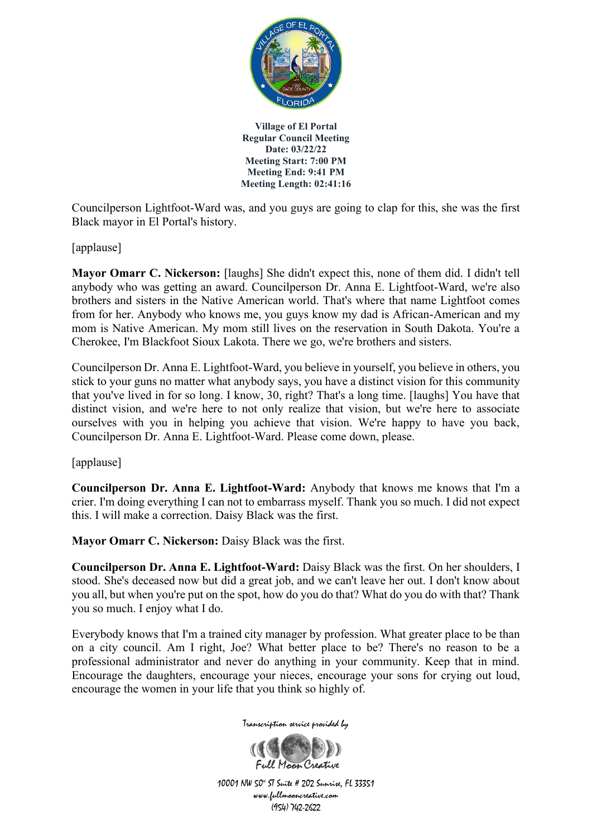

Councilperson Lightfoot-Ward was, and you guys are going to clap for this, she was the first Black mayor in El Portal's history.

[applause]

**Mayor Omarr C. Nickerson:** [laughs] She didn't expect this, none of them did. I didn't tell anybody who was getting an award. Councilperson Dr. Anna E. Lightfoot-Ward, we're also brothers and sisters in the Native American world. That's where that name Lightfoot comes from for her. Anybody who knows me, you guys know my dad is African-American and my mom is Native American. My mom still lives on the reservation in South Dakota. You're a Cherokee, I'm Blackfoot Sioux Lakota. There we go, we're brothers and sisters.

Councilperson Dr. Anna E. Lightfoot-Ward, you believe in yourself, you believe in others, you stick to your guns no matter what anybody says, you have a distinct vision for this community that you've lived in for so long. I know, 30, right? That's a long time. [laughs] You have that distinct vision, and we're here to not only realize that vision, but we're here to associate ourselves with you in helping you achieve that vision. We're happy to have you back, Councilperson Dr. Anna E. Lightfoot-Ward. Please come down, please.

[applause]

**Councilperson Dr. Anna E. Lightfoot-Ward:** Anybody that knows me knows that I'm a crier. I'm doing everything I can not to embarrass myself. Thank you so much. I did not expect this. I will make a correction. Daisy Black was the first.

**Mayor Omarr C. Nickerson:** Daisy Black was the first.

**Councilperson Dr. Anna E. Lightfoot-Ward:** Daisy Black was the first. On her shoulders, I stood. She's deceased now but did a great job, and we can't leave her out. I don't know about you all, but when you're put on the spot, how do you do that? What do you do with that? Thank you so much. I enjoy what I do.

Everybody knows that I'm a trained city manager by profession. What greater place to be than on a city council. Am I right, Joe? What better place to be? There's no reason to be a professional administrator and never do anything in your community. Keep that in mind. Encourage the daughters, encourage your nieces, encourage your sons for crying out loud, encourage the women in your life that you think so highly of.



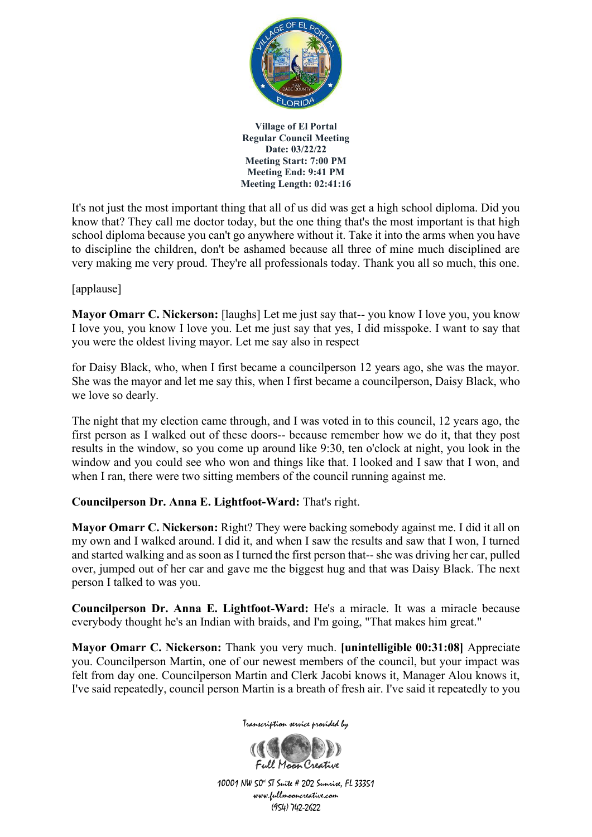

It's not just the most important thing that all of us did was get a high school diploma. Did you know that? They call me doctor today, but the one thing that's the most important is that high school diploma because you can't go anywhere without it. Take it into the arms when you have to discipline the children, don't be ashamed because all three of mine much disciplined are very making me very proud. They're all professionals today. Thank you all so much, this one.

### [applause]

**Mayor Omarr C. Nickerson:** [laughs] Let me just say that-- you know I love you, you know I love you, you know I love you. Let me just say that yes, I did misspoke. I want to say that you were the oldest living mayor. Let me say also in respect

for Daisy Black, who, when I first became a councilperson 12 years ago, she was the mayor. She was the mayor and let me say this, when I first became a councilperson, Daisy Black, who we love so dearly.

The night that my election came through, and I was voted in to this council, 12 years ago, the first person as I walked out of these doors-- because remember how we do it, that they post results in the window, so you come up around like 9:30, ten o'clock at night, you look in the window and you could see who won and things like that. I looked and I saw that I won, and when I ran, there were two sitting members of the council running against me.

#### **Councilperson Dr. Anna E. Lightfoot-Ward:** That's right.

**Mayor Omarr C. Nickerson:** Right? They were backing somebody against me. I did it all on my own and I walked around. I did it, and when I saw the results and saw that I won, I turned and started walking and as soon as I turned the first person that-- she was driving her car, pulled over, jumped out of her car and gave me the biggest hug and that was Daisy Black. The next person I talked to was you.

**Councilperson Dr. Anna E. Lightfoot-Ward:** He's a miracle. It was a miracle because everybody thought he's an Indian with braids, and I'm going, "That makes him great."

**Mayor Omarr C. Nickerson:** Thank you very much. **[unintelligible 00:31:08]** Appreciate you. Councilperson Martin, one of our newest members of the council, but your impact was felt from day one. Councilperson Martin and Clerk Jacobi knows it, Manager Alou knows it, I've said repeatedly, council person Martin is a breath of fresh air. I've said it repeatedly to you



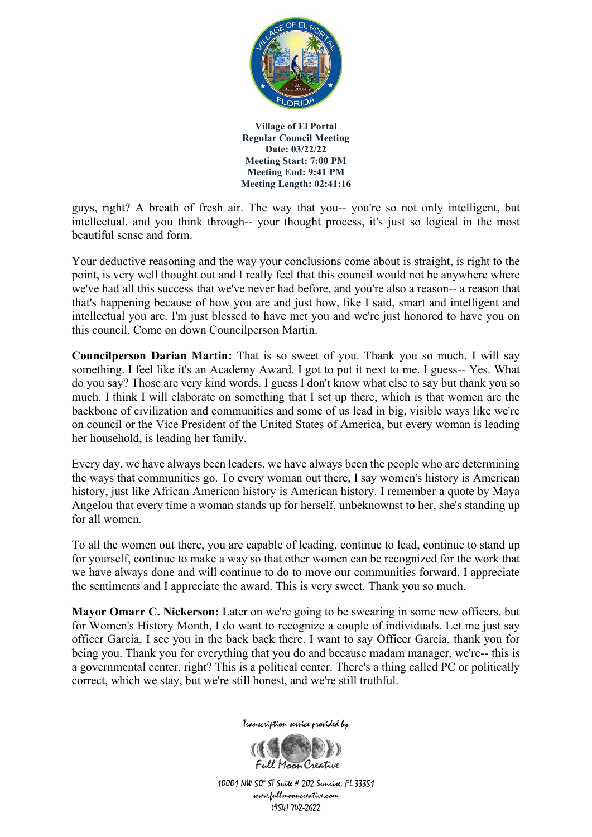

guys, right? A breath of fresh air. The way that you-- you're so not only intelligent, but intellectual, and you think through-- your thought process, it's just so logical in the most beautiful sense and form.

Your deductive reasoning and the way your conclusions come about is straight, is right to the point, is very well thought out and I really feel that this council would not be anywhere where we've had all this success that we've never had before, and you're also a reason-- a reason that that's happening because of how you are and just how, like I said, smart and intelligent and intellectual you are. I'm just blessed to have met you and we're just honored to have you on this council. Come on down Councilperson Martin.

**Councilperson Darian Martin:** That is so sweet of you. Thank you so much. I will say something. I feel like it's an Academy Award. I got to put it next to me. I guess-- Yes. What do you say? Those are very kind words. I guess I don't know what else to say but thank you so much. I think I will elaborate on something that I set up there, which is that women are the backbone of civilization and communities and some of us lead in big, visible ways like we're on council or the Vice President of the United States of America, but every woman is leading her household, is leading her family.

Every day, we have always been leaders, we have always been the people who are determining the ways that communities go. To every woman out there, I say women's history is American history, just like African American history is American history. I remember a quote by Maya Angelou that every time a woman stands up for herself, unbeknownst to her, she's standing up for all women.

To all the women out there, you are capable of leading, continue to lead, continue to stand up for yourself, continue to make a way so that other women can be recognized for the work that we have always done and will continue to do to move our communities forward. I appreciate the sentiments and I appreciate the award. This is very sweet. Thank you so much.

**Mayor Omarr C. Nickerson:** Later on we're going to be swearing in some new officers, but for Women's History Month, I do want to recognize a couple of individuals. Let me just say officer Garcia, I see you in the back back there. I want to say Officer Garcia, thank you for being you. Thank you for everything that you do and because madam manager, we're-- this is a governmental center, right? This is a political center. There's a thing called PC or politically correct, which we stay, but we're still honest, and we're still truthful.



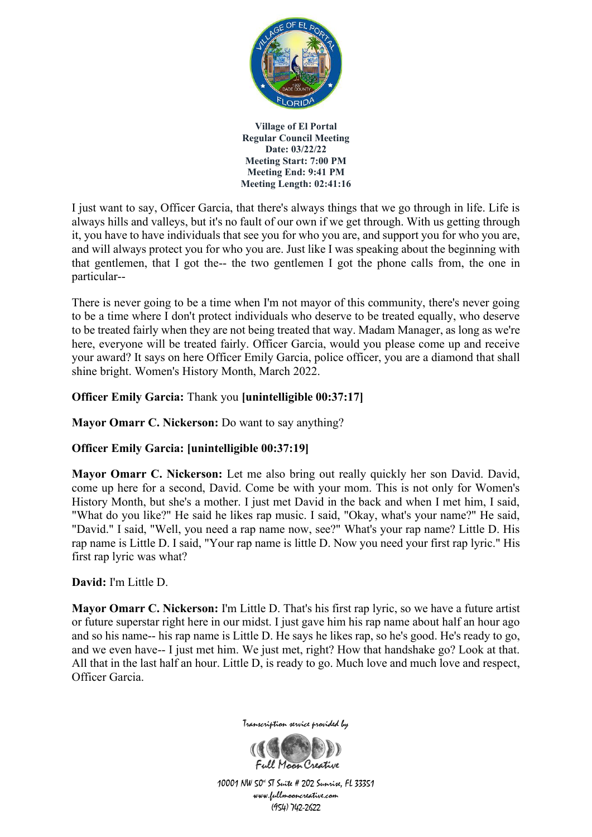

I just want to say, Officer Garcia, that there's always things that we go through in life. Life is always hills and valleys, but it's no fault of our own if we get through. With us getting through it, you have to have individuals that see you for who you are, and support you for who you are, and will always protect you for who you are. Just like I was speaking about the beginning with that gentlemen, that I got the-- the two gentlemen I got the phone calls from, the one in particular--

There is never going to be a time when I'm not mayor of this community, there's never going to be a time where I don't protect individuals who deserve to be treated equally, who deserve to be treated fairly when they are not being treated that way. Madam Manager, as long as we're here, everyone will be treated fairly. Officer Garcia, would you please come up and receive your award? It says on here Officer Emily Garcia, police officer, you are a diamond that shall shine bright. Women's History Month, March 2022.

### **Officer Emily Garcia:** Thank you **[unintelligible 00:37:17]**

**Mayor Omarr C. Nickerson:** Do want to say anything?

# **Officer Emily Garcia: [unintelligible 00:37:19]**

**Mayor Omarr C. Nickerson:** Let me also bring out really quickly her son David. David, come up here for a second, David. Come be with your mom. This is not only for Women's History Month, but she's a mother. I just met David in the back and when I met him, I said, "What do you like?" He said he likes rap music. I said, "Okay, what's your name?" He said, "David." I said, "Well, you need a rap name now, see?" What's your rap name? Little D. His rap name is Little D. I said, "Your rap name is little D. Now you need your first rap lyric." His first rap lyric was what?

### **David:** I'm Little D.

**Mayor Omarr C. Nickerson:** I'm Little D. That's his first rap lyric, so we have a future artist or future superstar right here in our midst. I just gave him his rap name about half an hour ago and so his name-- his rap name is Little D. He says he likes rap, so he's good. He's ready to go, and we even have-- I just met him. We just met, right? How that handshake go? Look at that. All that in the last half an hour. Little D, is ready to go. Much love and much love and respect, Officer Garcia.



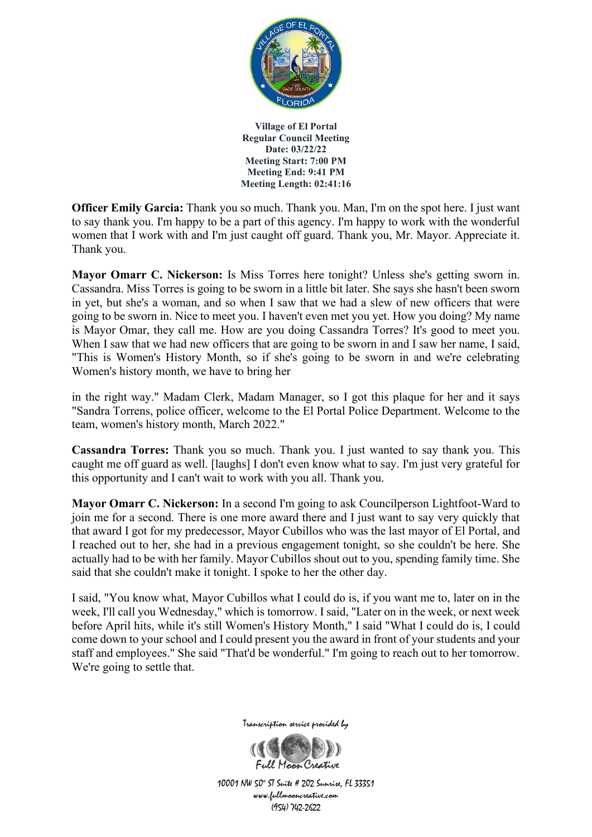

**Officer Emily Garcia:** Thank you so much. Thank you. Man, I'm on the spot here. I just want to say thank you. I'm happy to be a part of this agency. I'm happy to work with the wonderful women that I work with and I'm just caught off guard. Thank you, Mr. Mayor. Appreciate it. Thank you.

**Mayor Omarr C. Nickerson:** Is Miss Torres here tonight? Unless she's getting sworn in. Cassandra. Miss Torres is going to be sworn in a little bit later. She says she hasn't been sworn in yet, but she's a woman, and so when I saw that we had a slew of new officers that were going to be sworn in. Nice to meet you. I haven't even met you yet. How you doing? My name is Mayor Omar, they call me. How are you doing Cassandra Torres? It's good to meet you. When I saw that we had new officers that are going to be sworn in and I saw her name, I said, "This is Women's History Month, so if she's going to be sworn in and we're celebrating Women's history month, we have to bring her

in the right way." Madam Clerk, Madam Manager, so I got this plaque for her and it says "Sandra Torrens, police officer, welcome to the El Portal Police Department. Welcome to the team, women's history month, March 2022."

**Cassandra Torres:** Thank you so much. Thank you. I just wanted to say thank you. This caught me off guard as well. [laughs] I don't even know what to say. I'm just very grateful for this opportunity and I can't wait to work with you all. Thank you.

**Mayor Omarr C. Nickerson:** In a second I'm going to ask Councilperson Lightfoot-Ward to join me for a second. There is one more award there and I just want to say very quickly that that award I got for my predecessor, Mayor Cubillos who was the last mayor of El Portal, and I reached out to her, she had in a previous engagement tonight, so she couldn't be here. She actually had to be with her family. Mayor Cubillos shout out to you, spending family time. She said that she couldn't make it tonight. I spoke to her the other day.

I said, "You know what, Mayor Cubillos what I could do is, if you want me to, later on in the week, I'll call you Wednesday," which is tomorrow. I said, "Later on in the week, or next week before April hits, while it's still Women's History Month," I said "What I could do is, I could come down to your school and I could present you the award in front of your students and your staff and employees." She said "That'd be wonderful." I'm going to reach out to her tomorrow. We're going to settle that.



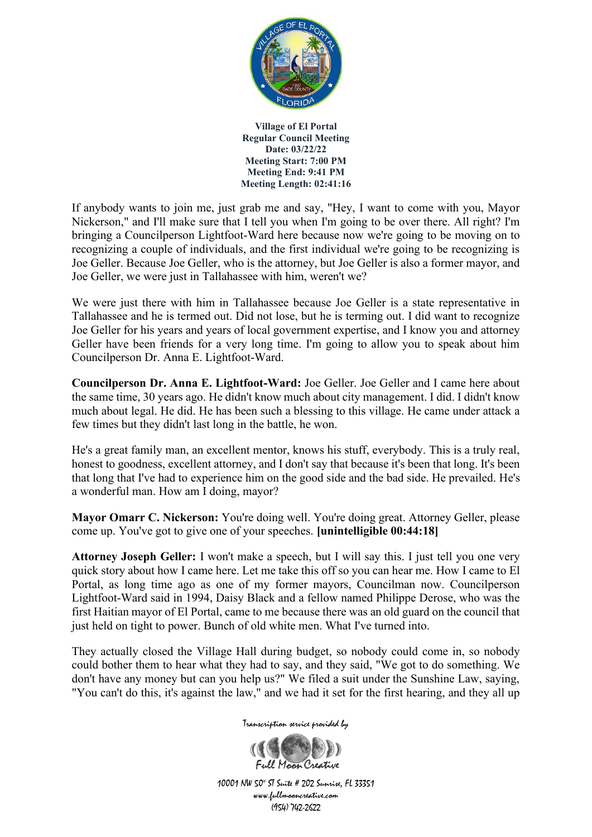

If anybody wants to join me, just grab me and say, "Hey, I want to come with you, Mayor Nickerson," and I'll make sure that I tell you when I'm going to be over there. All right? I'm bringing a Councilperson Lightfoot-Ward here because now we're going to be moving on to recognizing a couple of individuals, and the first individual we're going to be recognizing is Joe Geller. Because Joe Geller, who is the attorney, but Joe Geller is also a former mayor, and Joe Geller, we were just in Tallahassee with him, weren't we?

We were just there with him in Tallahassee because Joe Geller is a state representative in Tallahassee and he is termed out. Did not lose, but he is terming out. I did want to recognize Joe Geller for his years and years of local government expertise, and I know you and attorney Geller have been friends for a very long time. I'm going to allow you to speak about him Councilperson Dr. Anna E. Lightfoot-Ward.

**Councilperson Dr. Anna E. Lightfoot-Ward:** Joe Geller. Joe Geller and I came here about the same time, 30 years ago. He didn't know much about city management. I did. I didn't know much about legal. He did. He has been such a blessing to this village. He came under attack a few times but they didn't last long in the battle, he won.

He's a great family man, an excellent mentor, knows his stuff, everybody. This is a truly real, honest to goodness, excellent attorney, and I don't say that because it's been that long. It's been that long that I've had to experience him on the good side and the bad side. He prevailed. He's a wonderful man. How am I doing, mayor?

**Mayor Omarr C. Nickerson:** You're doing well. You're doing great. Attorney Geller, please come up. You've got to give one of your speeches. **[unintelligible 00:44:18]**

**Attorney Joseph Geller:** I won't make a speech, but I will say this. I just tell you one very quick story about how I came here. Let me take this off so you can hear me. How I came to El Portal, as long time ago as one of my former mayors, Councilman now. Councilperson Lightfoot-Ward said in 1994, Daisy Black and a fellow named Philippe Derose, who was the first Haitian mayor of El Portal, came to me because there was an old guard on the council that just held on tight to power. Bunch of old white men. What I've turned into.

They actually closed the Village Hall during budget, so nobody could come in, so nobody could bother them to hear what they had to say, and they said, "We got to do something. We don't have any money but can you help us?" We filed a suit under the Sunshine Law, saying, "You can't do this, it's against the law," and we had it set for the first hearing, and they all up

Transcription service provided by

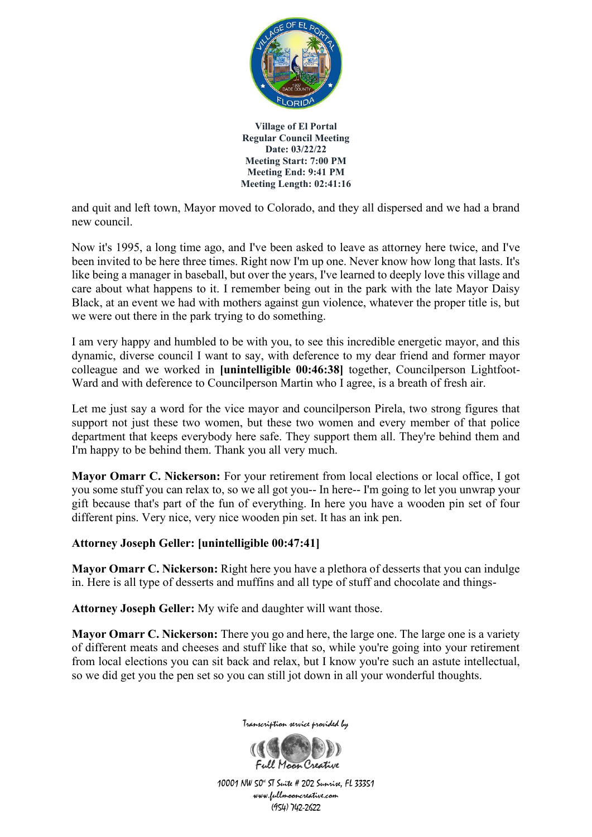

and quit and left town, Mayor moved to Colorado, and they all dispersed and we had a brand new council.

Now it's 1995, a long time ago, and I've been asked to leave as attorney here twice, and I've been invited to be here three times. Right now I'm up one. Never know how long that lasts. It's like being a manager in baseball, but over the years, I've learned to deeply love this village and care about what happens to it. I remember being out in the park with the late Mayor Daisy Black, at an event we had with mothers against gun violence, whatever the proper title is, but we were out there in the park trying to do something.

I am very happy and humbled to be with you, to see this incredible energetic mayor, and this dynamic, diverse council I want to say, with deference to my dear friend and former mayor colleague and we worked in **[unintelligible 00:46:38]** together, Councilperson Lightfoot-Ward and with deference to Councilperson Martin who I agree, is a breath of fresh air.

Let me just say a word for the vice mayor and councilperson Pirela, two strong figures that support not just these two women, but these two women and every member of that police department that keeps everybody here safe. They support them all. They're behind them and I'm happy to be behind them. Thank you all very much.

**Mayor Omarr C. Nickerson:** For your retirement from local elections or local office, I got you some stuff you can relax to, so we all got you-- In here-- I'm going to let you unwrap your gift because that's part of the fun of everything. In here you have a wooden pin set of four different pins. Very nice, very nice wooden pin set. It has an ink pen.

### **Attorney Joseph Geller: [unintelligible 00:47:41]**

**Mayor Omarr C. Nickerson:** Right here you have a plethora of desserts that you can indulge in. Here is all type of desserts and muffins and all type of stuff and chocolate and things-

**Attorney Joseph Geller:** My wife and daughter will want those.

**Mayor Omarr C. Nickerson:** There you go and here, the large one. The large one is a variety of different meats and cheeses and stuff like that so, while you're going into your retirement from local elections you can sit back and relax, but I know you're such an astute intellectual, so we did get you the pen set so you can still jot down in all your wonderful thoughts.



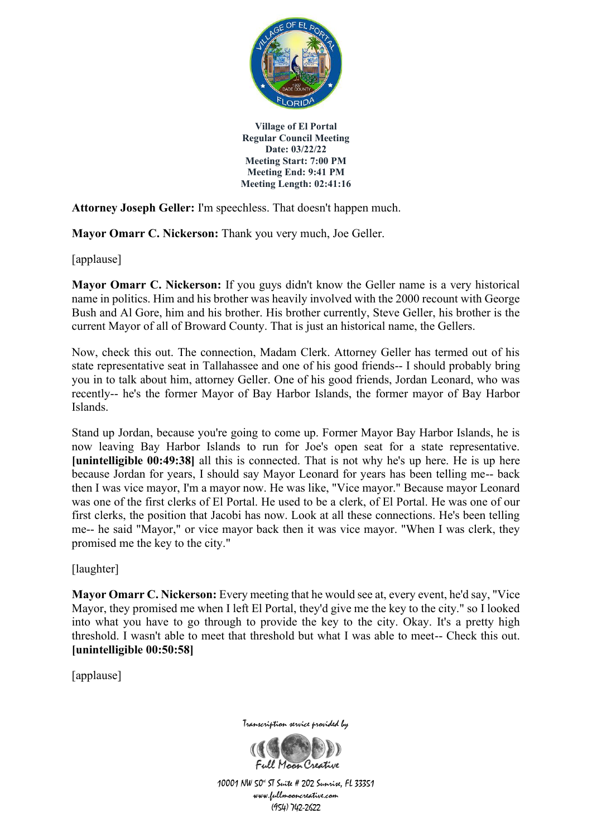

**Attorney Joseph Geller:** I'm speechless. That doesn't happen much.

**Mayor Omarr C. Nickerson:** Thank you very much, Joe Geller.

[applause]

**Mayor Omarr C. Nickerson:** If you guys didn't know the Geller name is a very historical name in politics. Him and his brother was heavily involved with the 2000 recount with George Bush and Al Gore, him and his brother. His brother currently, Steve Geller, his brother is the current Mayor of all of Broward County. That is just an historical name, the Gellers.

Now, check this out. The connection, Madam Clerk. Attorney Geller has termed out of his state representative seat in Tallahassee and one of his good friends-- I should probably bring you in to talk about him, attorney Geller. One of his good friends, Jordan Leonard, who was recently-- he's the former Mayor of Bay Harbor Islands, the former mayor of Bay Harbor Islands.

Stand up Jordan, because you're going to come up. Former Mayor Bay Harbor Islands, he is now leaving Bay Harbor Islands to run for Joe's open seat for a state representative. **[unintelligible 00:49:38]** all this is connected. That is not why he's up here. He is up here because Jordan for years, I should say Mayor Leonard for years has been telling me-- back then I was vice mayor, I'm a mayor now. He was like, "Vice mayor." Because mayor Leonard was one of the first clerks of El Portal. He used to be a clerk, of El Portal. He was one of our first clerks, the position that Jacobi has now. Look at all these connections. He's been telling me-- he said "Mayor," or vice mayor back then it was vice mayor. "When I was clerk, they promised me the key to the city."

[laughter]

**Mayor Omarr C. Nickerson:** Every meeting that he would see at, every event, he'd say, "Vice Mayor, they promised me when I left El Portal, they'd give me the key to the city." so I looked into what you have to go through to provide the key to the city. Okay. It's a pretty high threshold. I wasn't able to meet that threshold but what I was able to meet-- Check this out. **[unintelligible 00:50:58]**

[applause]

Transcription service provided by

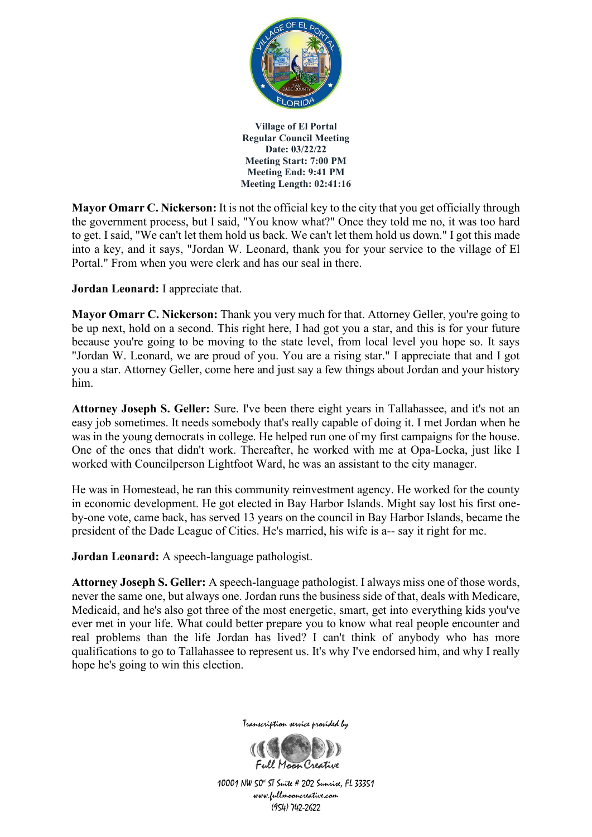

**Mayor Omarr C. Nickerson:** It is not the official key to the city that you get officially through the government process, but I said, "You know what?" Once they told me no, it was too hard to get. I said, "We can't let them hold us back. We can't let them hold us down." I got this made into a key, and it says, "Jordan W. Leonard, thank you for your service to the village of El Portal." From when you were clerk and has our seal in there.

**Jordan Leonard:** I appreciate that.

**Mayor Omarr C. Nickerson:** Thank you very much for that. Attorney Geller, you're going to be up next, hold on a second. This right here, I had got you a star, and this is for your future because you're going to be moving to the state level, from local level you hope so. It says "Jordan W. Leonard, we are proud of you. You are a rising star." I appreciate that and I got you a star. Attorney Geller, come here and just say a few things about Jordan and your history him.

**Attorney Joseph S. Geller:** Sure. I've been there eight years in Tallahassee, and it's not an easy job sometimes. It needs somebody that's really capable of doing it. I met Jordan when he was in the young democrats in college. He helped run one of my first campaigns for the house. One of the ones that didn't work. Thereafter, he worked with me at Opa-Locka, just like I worked with Councilperson Lightfoot Ward, he was an assistant to the city manager.

He was in Homestead, he ran this community reinvestment agency. He worked for the county in economic development. He got elected in Bay Harbor Islands. Might say lost his first oneby-one vote, came back, has served 13 years on the council in Bay Harbor Islands, became the president of the Dade League of Cities. He's married, his wife is a-- say it right for me.

**Jordan Leonard:** A speech-language pathologist.

**Attorney Joseph S. Geller:** A speech-language pathologist. I always miss one of those words, never the same one, but always one. Jordan runs the business side of that, deals with Medicare, Medicaid, and he's also got three of the most energetic, smart, get into everything kids you've ever met in your life. What could better prepare you to know what real people encounter and real problems than the life Jordan has lived? I can't think of anybody who has more qualifications to go to Tallahassee to represent us. It's why I've endorsed him, and why I really hope he's going to win this election.



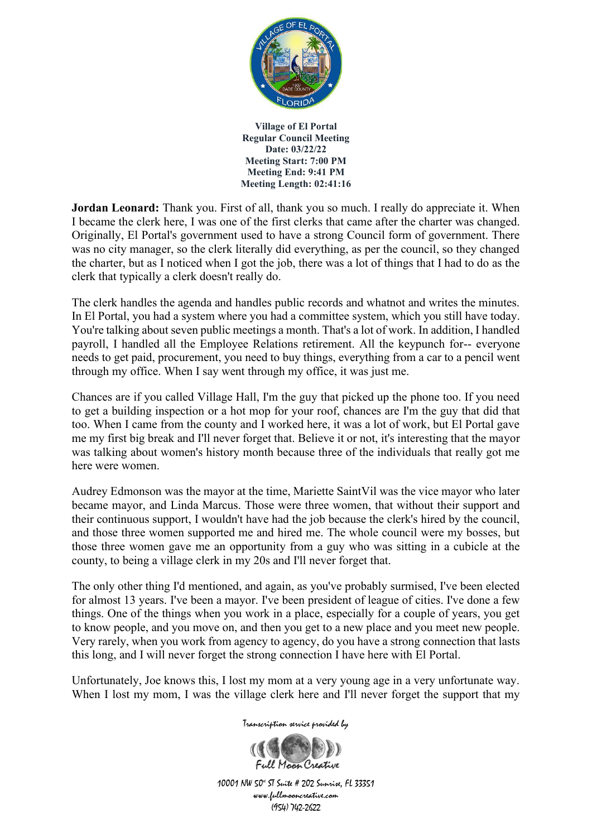

**Jordan Leonard:** Thank you. First of all, thank you so much. I really do appreciate it. When I became the clerk here, I was one of the first clerks that came after the charter was changed. Originally, El Portal's government used to have a strong Council form of government. There was no city manager, so the clerk literally did everything, as per the council, so they changed the charter, but as I noticed when I got the job, there was a lot of things that I had to do as the clerk that typically a clerk doesn't really do.

The clerk handles the agenda and handles public records and whatnot and writes the minutes. In El Portal, you had a system where you had a committee system, which you still have today. You're talking about seven public meetings a month. That's a lot of work. In addition, I handled payroll, I handled all the Employee Relations retirement. All the keypunch for-- everyone needs to get paid, procurement, you need to buy things, everything from a car to a pencil went through my office. When I say went through my office, it was just me.

Chances are if you called Village Hall, I'm the guy that picked up the phone too. If you need to get a building inspection or a hot mop for your roof, chances are I'm the guy that did that too. When I came from the county and I worked here, it was a lot of work, but El Portal gave me my first big break and I'll never forget that. Believe it or not, it's interesting that the mayor was talking about women's history month because three of the individuals that really got me here were women.

Audrey Edmonson was the mayor at the time, Mariette SaintVil was the vice mayor who later became mayor, and Linda Marcus. Those were three women, that without their support and their continuous support, I wouldn't have had the job because the clerk's hired by the council, and those three women supported me and hired me. The whole council were my bosses, but those three women gave me an opportunity from a guy who was sitting in a cubicle at the county, to being a village clerk in my 20s and I'll never forget that.

The only other thing I'd mentioned, and again, as you've probably surmised, I've been elected for almost 13 years. I've been a mayor. I've been president of league of cities. I've done a few things. One of the things when you work in a place, especially for a couple of years, you get to know people, and you move on, and then you get to a new place and you meet new people. Very rarely, when you work from agency to agency, do you have a strong connection that lasts this long, and I will never forget the strong connection I have here with El Portal.

Unfortunately, Joe knows this, I lost my mom at a very young age in a very unfortunate way. When I lost my mom, I was the village clerk here and I'll never forget the support that my

Transcription service provided by

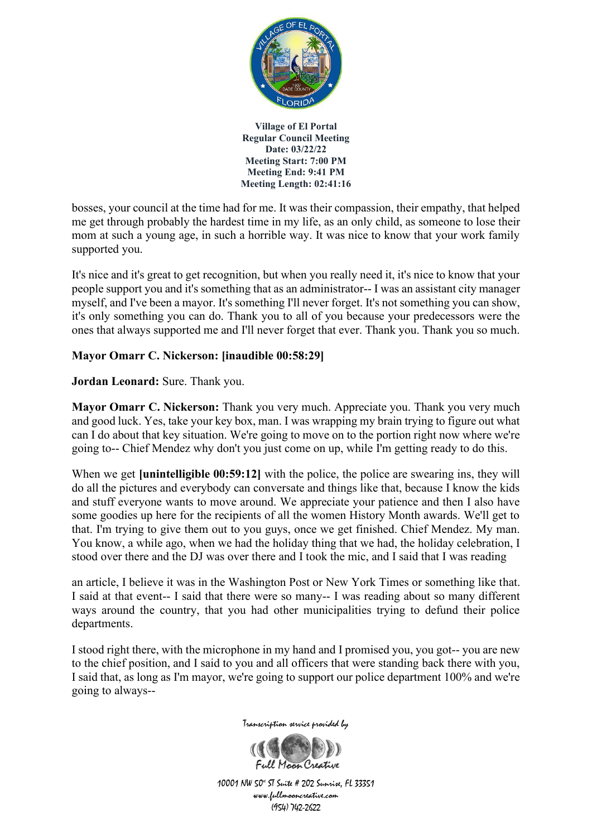

bosses, your council at the time had for me. It was their compassion, their empathy, that helped me get through probably the hardest time in my life, as an only child, as someone to lose their mom at such a young age, in such a horrible way. It was nice to know that your work family supported you.

It's nice and it's great to get recognition, but when you really need it, it's nice to know that your people support you and it's something that as an administrator-- I was an assistant city manager myself, and I've been a mayor. It's something I'll never forget. It's not something you can show, it's only something you can do. Thank you to all of you because your predecessors were the ones that always supported me and I'll never forget that ever. Thank you. Thank you so much.

### **Mayor Omarr C. Nickerson: [inaudible 00:58:29]**

**Jordan Leonard:** Sure. Thank you.

**Mayor Omarr C. Nickerson:** Thank you very much. Appreciate you. Thank you very much and good luck. Yes, take your key box, man. I was wrapping my brain trying to figure out what can I do about that key situation. We're going to move on to the portion right now where we're going to-- Chief Mendez why don't you just come on up, while I'm getting ready to do this.

When we get **[unintelligible 00:59:12]** with the police, the police are swearing ins, they will do all the pictures and everybody can conversate and things like that, because I know the kids and stuff everyone wants to move around. We appreciate your patience and then I also have some goodies up here for the recipients of all the women History Month awards. We'll get to that. I'm trying to give them out to you guys, once we get finished. Chief Mendez. My man. You know, a while ago, when we had the holiday thing that we had, the holiday celebration, I stood over there and the DJ was over there and I took the mic, and I said that I was reading

an article, I believe it was in the Washington Post or New York Times or something like that. I said at that event-- I said that there were so many-- I was reading about so many different ways around the country, that you had other municipalities trying to defund their police departments.

I stood right there, with the microphone in my hand and I promised you, you got-- you are new to the chief position, and I said to you and all officers that were standing back there with you, I said that, as long as I'm mayor, we're going to support our police department 100% and we're going to always--



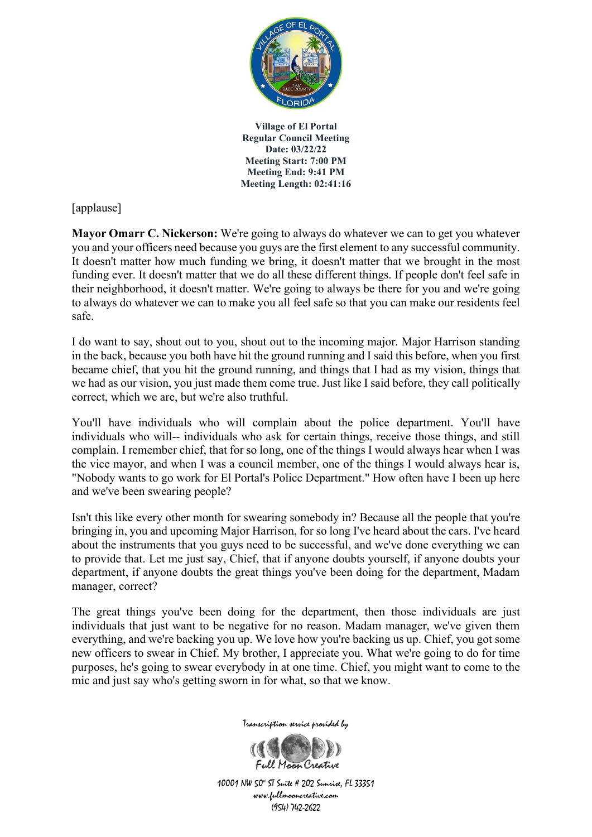

[applause]

**Mayor Omarr C. Nickerson:** We're going to always do whatever we can to get you whatever you and your officers need because you guys are the first element to any successful community. It doesn't matter how much funding we bring, it doesn't matter that we brought in the most funding ever. It doesn't matter that we do all these different things. If people don't feel safe in their neighborhood, it doesn't matter. We're going to always be there for you and we're going to always do whatever we can to make you all feel safe so that you can make our residents feel safe.

I do want to say, shout out to you, shout out to the incoming major. Major Harrison standing in the back, because you both have hit the ground running and I said this before, when you first became chief, that you hit the ground running, and things that I had as my vision, things that we had as our vision, you just made them come true. Just like I said before, they call politically correct, which we are, but we're also truthful.

You'll have individuals who will complain about the police department. You'll have individuals who will-- individuals who ask for certain things, receive those things, and still complain. I remember chief, that for so long, one of the things I would always hear when I was the vice mayor, and when I was a council member, one of the things I would always hear is, "Nobody wants to go work for El Portal's Police Department." How often have I been up here and we've been swearing people?

Isn't this like every other month for swearing somebody in? Because all the people that you're bringing in, you and upcoming Major Harrison, for so long I've heard about the cars. I've heard about the instruments that you guys need to be successful, and we've done everything we can to provide that. Let me just say, Chief, that if anyone doubts yourself, if anyone doubts your department, if anyone doubts the great things you've been doing for the department, Madam manager, correct?

The great things you've been doing for the department, then those individuals are just individuals that just want to be negative for no reason. Madam manager, we've given them everything, and we're backing you up. We love how you're backing us up. Chief, you got some new officers to swear in Chief. My brother, I appreciate you. What we're going to do for time purposes, he's going to swear everybody in at one time. Chief, you might want to come to the mic and just say who's getting sworn in for what, so that we know.



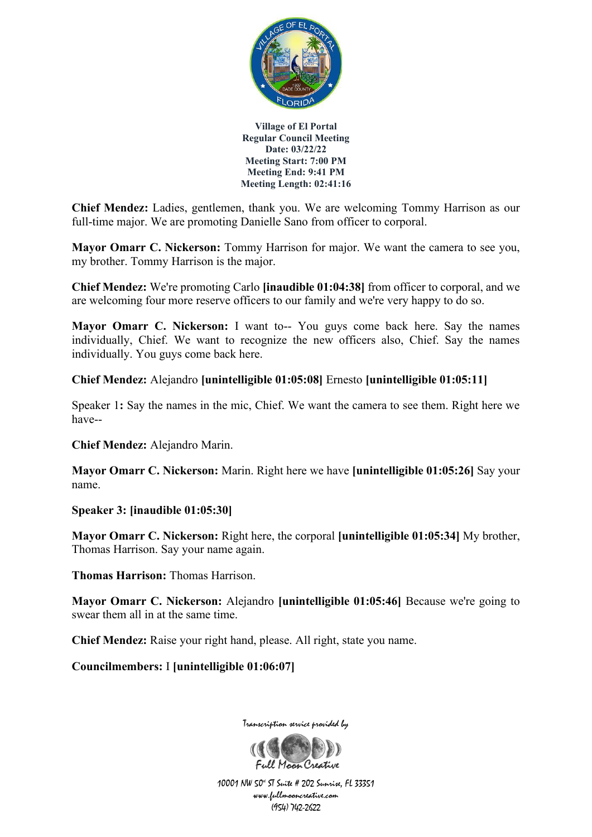

**Chief Mendez:** Ladies, gentlemen, thank you. We are welcoming Tommy Harrison as our full-time major. We are promoting Danielle Sano from officer to corporal.

**Mayor Omarr C. Nickerson:** Tommy Harrison for major. We want the camera to see you, my brother. Tommy Harrison is the major.

**Chief Mendez:** We're promoting Carlo **[inaudible 01:04:38]** from officer to corporal, and we are welcoming four more reserve officers to our family and we're very happy to do so.

**Mayor Omarr C. Nickerson:** I want to-- You guys come back here. Say the names individually, Chief. We want to recognize the new officers also, Chief. Say the names individually. You guys come back here.

**Chief Mendez:** Alejandro **[unintelligible 01:05:08]** Ernesto **[unintelligible 01:05:11]**

Speaker 1**:** Say the names in the mic, Chief. We want the camera to see them. Right here we have--

**Chief Mendez:** Alejandro Marin.

**Mayor Omarr C. Nickerson:** Marin. Right here we have **[unintelligible 01:05:26]** Say your name.

**Speaker 3: [inaudible 01:05:30]**

**Mayor Omarr C. Nickerson:** Right here, the corporal **[unintelligible 01:05:34]** My brother, Thomas Harrison. Say your name again.

**Thomas Harrison:** Thomas Harrison.

**Mayor Omarr C. Nickerson:** Alejandro **[unintelligible 01:05:46]** Because we're going to swear them all in at the same time.

**Chief Mendez:** Raise your right hand, please. All right, state you name.

**Councilmembers:** I **[unintelligible 01:06:07]**



Transcription service provided by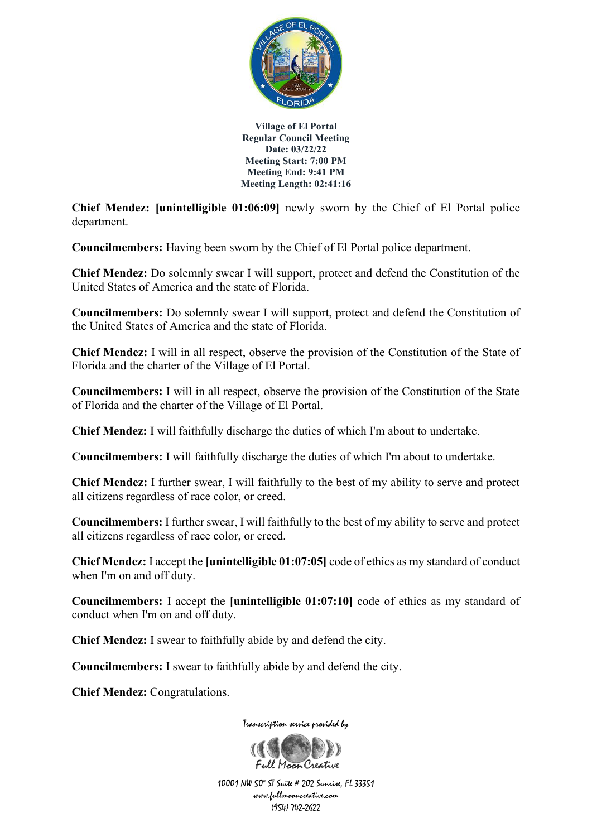

**Chief Mendez: [unintelligible 01:06:09]** newly sworn by the Chief of El Portal police department.

**Councilmembers:** Having been sworn by the Chief of El Portal police department.

**Chief Mendez:** Do solemnly swear I will support, protect and defend the Constitution of the United States of America and the state of Florida.

**Councilmembers:** Do solemnly swear I will support, protect and defend the Constitution of the United States of America and the state of Florida.

**Chief Mendez:** I will in all respect, observe the provision of the Constitution of the State of Florida and the charter of the Village of El Portal.

**Councilmembers:** I will in all respect, observe the provision of the Constitution of the State of Florida and the charter of the Village of El Portal.

**Chief Mendez:** I will faithfully discharge the duties of which I'm about to undertake.

**Councilmembers:** I will faithfully discharge the duties of which I'm about to undertake.

**Chief Mendez:** I further swear, I will faithfully to the best of my ability to serve and protect all citizens regardless of race color, or creed.

**Councilmembers:** I further swear, I will faithfully to the best of my ability to serve and protect all citizens regardless of race color, or creed.

**Chief Mendez:** I accept the **[unintelligible 01:07:05]** code of ethics as my standard of conduct when I'm on and off duty.

**Councilmembers:** I accept the **[unintelligible 01:07:10]** code of ethics as my standard of conduct when I'm on and off duty.

**Chief Mendez:** I swear to faithfully abide by and defend the city.

**Councilmembers:** I swear to faithfully abide by and defend the city.

**Chief Mendez:** Congratulations.

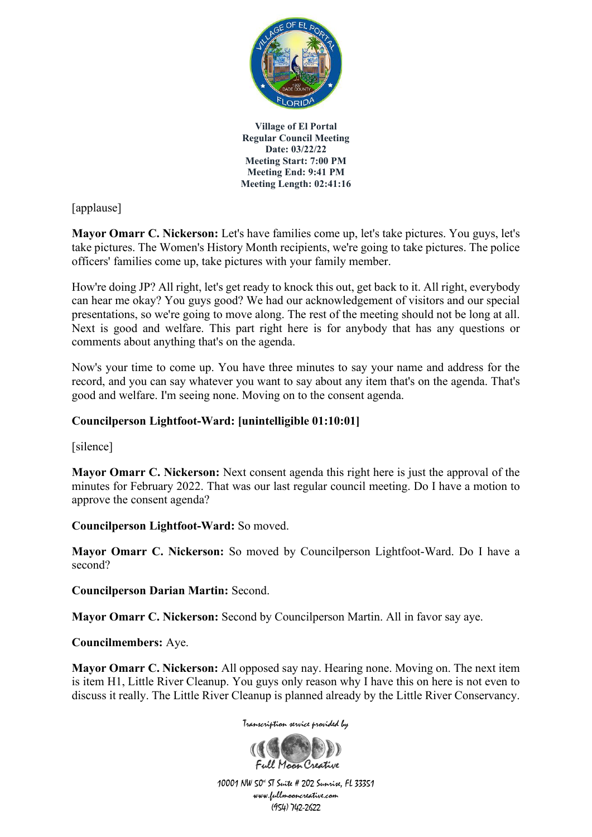

[applause]

**Mayor Omarr C. Nickerson:** Let's have families come up, let's take pictures. You guys, let's take pictures. The Women's History Month recipients, we're going to take pictures. The police officers' families come up, take pictures with your family member.

How're doing JP? All right, let's get ready to knock this out, get back to it. All right, everybody can hear me okay? You guys good? We had our acknowledgement of visitors and our special presentations, so we're going to move along. The rest of the meeting should not be long at all. Next is good and welfare. This part right here is for anybody that has any questions or comments about anything that's on the agenda.

Now's your time to come up. You have three minutes to say your name and address for the record, and you can say whatever you want to say about any item that's on the agenda. That's good and welfare. I'm seeing none. Moving on to the consent agenda.

## **Councilperson Lightfoot-Ward: [unintelligible 01:10:01]**

[silence]

**Mayor Omarr C. Nickerson:** Next consent agenda this right here is just the approval of the minutes for February 2022. That was our last regular council meeting. Do I have a motion to approve the consent agenda?

**Councilperson Lightfoot-Ward:** So moved.

**Mayor Omarr C. Nickerson:** So moved by Councilperson Lightfoot-Ward. Do I have a second?

**Councilperson Darian Martin:** Second.

**Mayor Omarr C. Nickerson:** Second by Councilperson Martin. All in favor say aye.

**Councilmembers:** Aye.

**Mayor Omarr C. Nickerson:** All opposed say nay. Hearing none. Moving on. The next item is item H1, Little River Cleanup. You guys only reason why I have this on here is not even to discuss it really. The Little River Cleanup is planned already by the Little River Conservancy.

Transcription service provided by

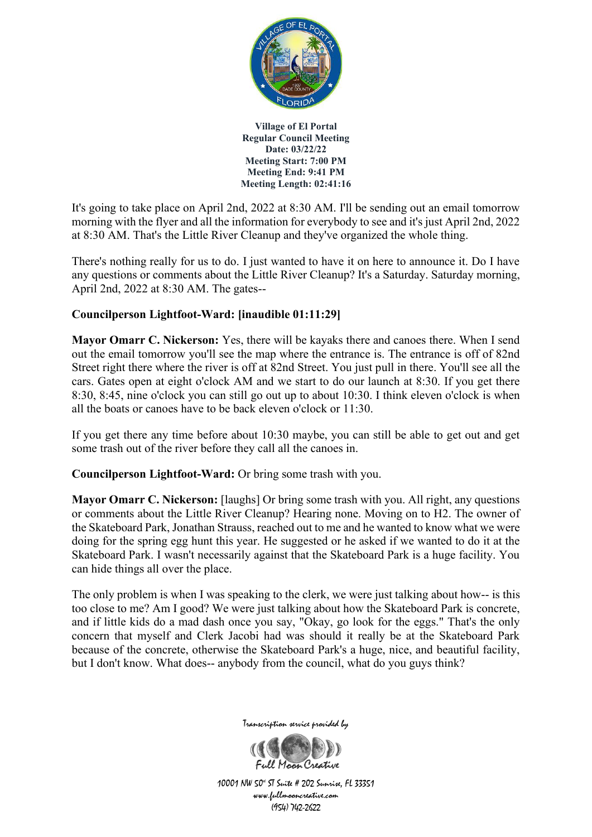

It's going to take place on April 2nd, 2022 at 8:30 AM. I'll be sending out an email tomorrow morning with the flyer and all the information for everybody to see and it's just April 2nd, 2022 at 8:30 AM. That's the Little River Cleanup and they've organized the whole thing.

There's nothing really for us to do. I just wanted to have it on here to announce it. Do I have any questions or comments about the Little River Cleanup? It's a Saturday. Saturday morning, April 2nd, 2022 at 8:30 AM. The gates--

### **Councilperson Lightfoot-Ward: [inaudible 01:11:29]**

**Mayor Omarr C. Nickerson:** Yes, there will be kayaks there and canoes there. When I send out the email tomorrow you'll see the map where the entrance is. The entrance is off of 82nd Street right there where the river is off at 82nd Street. You just pull in there. You'll see all the cars. Gates open at eight o'clock AM and we start to do our launch at 8:30. If you get there 8:30, 8:45, nine o'clock you can still go out up to about 10:30. I think eleven o'clock is when all the boats or canoes have to be back eleven o'clock or 11:30.

If you get there any time before about 10:30 maybe, you can still be able to get out and get some trash out of the river before they call all the canoes in.

**Councilperson Lightfoot-Ward:** Or bring some trash with you.

**Mayor Omarr C. Nickerson:** [laughs] Or bring some trash with you. All right, any questions or comments about the Little River Cleanup? Hearing none. Moving on to H2. The owner of the Skateboard Park, Jonathan Strauss, reached out to me and he wanted to know what we were doing for the spring egg hunt this year. He suggested or he asked if we wanted to do it at the Skateboard Park. I wasn't necessarily against that the Skateboard Park is a huge facility. You can hide things all over the place.

The only problem is when I was speaking to the clerk, we were just talking about how-- is this too close to me? Am I good? We were just talking about how the Skateboard Park is concrete, and if little kids do a mad dash once you say, "Okay, go look for the eggs." That's the only concern that myself and Clerk Jacobi had was should it really be at the Skateboard Park because of the concrete, otherwise the Skateboard Park's a huge, nice, and beautiful facility, but I don't know. What does-- anybody from the council, what do you guys think?



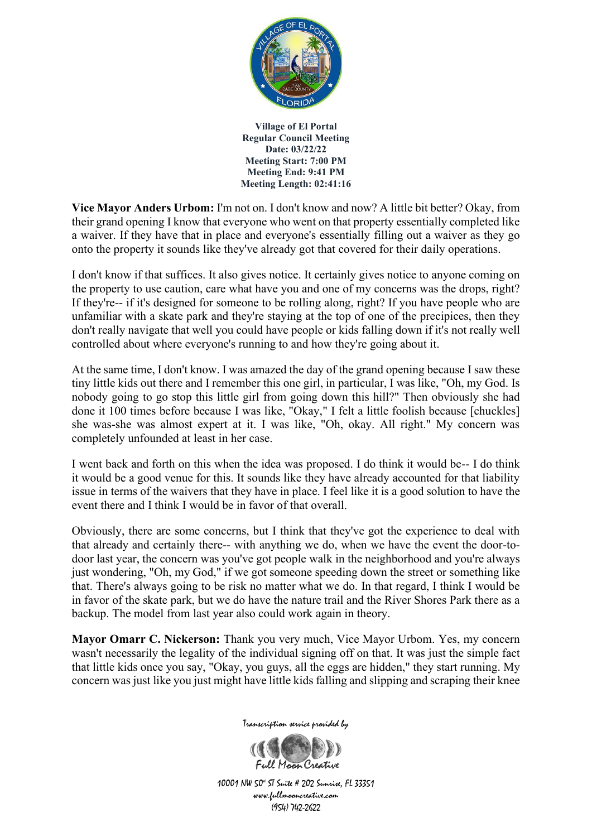

**Vice Mayor Anders Urbom:** I'm not on. I don't know and now? A little bit better? Okay, from their grand opening I know that everyone who went on that property essentially completed like a waiver. If they have that in place and everyone's essentially filling out a waiver as they go onto the property it sounds like they've already got that covered for their daily operations.

I don't know if that suffices. It also gives notice. It certainly gives notice to anyone coming on the property to use caution, care what have you and one of my concerns was the drops, right? If they're-- if it's designed for someone to be rolling along, right? If you have people who are unfamiliar with a skate park and they're staying at the top of one of the precipices, then they don't really navigate that well you could have people or kids falling down if it's not really well controlled about where everyone's running to and how they're going about it.

At the same time, I don't know. I was amazed the day of the grand opening because I saw these tiny little kids out there and I remember this one girl, in particular, I was like, "Oh, my God. Is nobody going to go stop this little girl from going down this hill?" Then obviously she had done it 100 times before because I was like, "Okay," I felt a little foolish because [chuckles] she was-she was almost expert at it. I was like, "Oh, okay. All right." My concern was completely unfounded at least in her case.

I went back and forth on this when the idea was proposed. I do think it would be-- I do think it would be a good venue for this. It sounds like they have already accounted for that liability issue in terms of the waivers that they have in place. I feel like it is a good solution to have the event there and I think I would be in favor of that overall.

Obviously, there are some concerns, but I think that they've got the experience to deal with that already and certainly there-- with anything we do, when we have the event the door-todoor last year, the concern was you've got people walk in the neighborhood and you're always just wondering, "Oh, my God," if we got someone speeding down the street or something like that. There's always going to be risk no matter what we do. In that regard, I think I would be in favor of the skate park, but we do have the nature trail and the River Shores Park there as a backup. The model from last year also could work again in theory.

**Mayor Omarr C. Nickerson:** Thank you very much, Vice Mayor Urbom. Yes, my concern wasn't necessarily the legality of the individual signing off on that. It was just the simple fact that little kids once you say, "Okay, you guys, all the eggs are hidden," they start running. My concern was just like you just might have little kids falling and slipping and scraping their knee



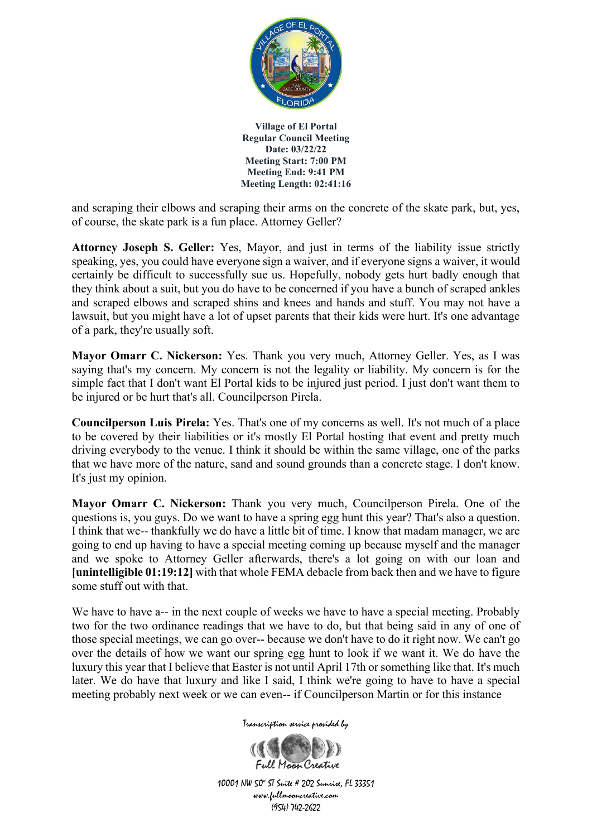

and scraping their elbows and scraping their arms on the concrete of the skate park, but, yes, of course, the skate park is a fun place. Attorney Geller?

**Attorney Joseph S. Geller:** Yes, Mayor, and just in terms of the liability issue strictly speaking, yes, you could have everyone sign a waiver, and if everyone signs a waiver, it would certainly be difficult to successfully sue us. Hopefully, nobody gets hurt badly enough that they think about a suit, but you do have to be concerned if you have a bunch of scraped ankles and scraped elbows and scraped shins and knees and hands and stuff. You may not have a lawsuit, but you might have a lot of upset parents that their kids were hurt. It's one advantage of a park, they're usually soft.

**Mayor Omarr C. Nickerson:** Yes. Thank you very much, Attorney Geller. Yes, as I was saying that's my concern. My concern is not the legality or liability. My concern is for the simple fact that I don't want El Portal kids to be injured just period. I just don't want them to be injured or be hurt that's all. Councilperson Pirela.

**Councilperson Luis Pirela:** Yes. That's one of my concerns as well. It's not much of a place to be covered by their liabilities or it's mostly El Portal hosting that event and pretty much driving everybody to the venue. I think it should be within the same village, one of the parks that we have more of the nature, sand and sound grounds than a concrete stage. I don't know. It's just my opinion.

**Mayor Omarr C. Nickerson:** Thank you very much, Councilperson Pirela. One of the questions is, you guys. Do we want to have a spring egg hunt this year? That's also a question. I think that we-- thankfully we do have a little bit of time. I know that madam manager, we are going to end up having to have a special meeting coming up because myself and the manager and we spoke to Attorney Geller afterwards, there's a lot going on with our loan and **[unintelligible 01:19:12]** with that whole FEMA debacle from back then and we have to figure some stuff out with that.

We have to have a-- in the next couple of weeks we have to have a special meeting. Probably two for the two ordinance readings that we have to do, but that being said in any of one of those special meetings, we can go over-- because we don't have to do it right now. We can't go over the details of how we want our spring egg hunt to look if we want it. We do have the luxury this year that I believe that Easter is not until April 17th or something like that. It's much later. We do have that luxury and like I said, I think we're going to have to have a special meeting probably next week or we can even-- if Councilperson Martin or for this instance

Transcription service provided by

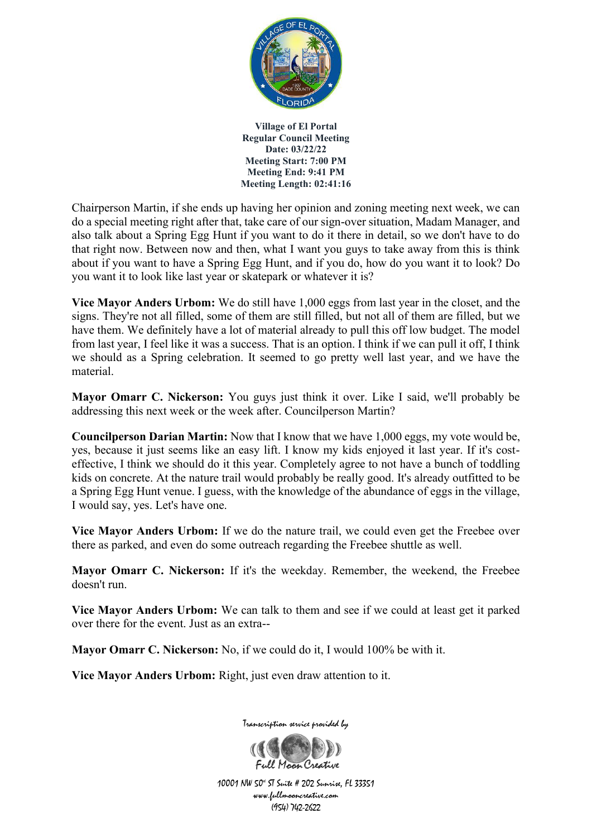

Chairperson Martin, if she ends up having her opinion and zoning meeting next week, we can do a special meeting right after that, take care of our sign-over situation, Madam Manager, and also talk about a Spring Egg Hunt if you want to do it there in detail, so we don't have to do that right now. Between now and then, what I want you guys to take away from this is think about if you want to have a Spring Egg Hunt, and if you do, how do you want it to look? Do you want it to look like last year or skatepark or whatever it is?

**Vice Mayor Anders Urbom:** We do still have 1,000 eggs from last year in the closet, and the signs. They're not all filled, some of them are still filled, but not all of them are filled, but we have them. We definitely have a lot of material already to pull this off low budget. The model from last year, I feel like it was a success. That is an option. I think if we can pull it off, I think we should as a Spring celebration. It seemed to go pretty well last year, and we have the material.

**Mayor Omarr C. Nickerson:** You guys just think it over. Like I said, we'll probably be addressing this next week or the week after. Councilperson Martin?

**Councilperson Darian Martin:** Now that I know that we have 1,000 eggs, my vote would be, yes, because it just seems like an easy lift. I know my kids enjoyed it last year. If it's costeffective, I think we should do it this year. Completely agree to not have a bunch of toddling kids on concrete. At the nature trail would probably be really good. It's already outfitted to be a Spring Egg Hunt venue. I guess, with the knowledge of the abundance of eggs in the village, I would say, yes. Let's have one.

**Vice Mayor Anders Urbom:** If we do the nature trail, we could even get the Freebee over there as parked, and even do some outreach regarding the Freebee shuttle as well.

**Mayor Omarr C. Nickerson:** If it's the weekday. Remember, the weekend, the Freebee doesn't run.

**Vice Mayor Anders Urbom:** We can talk to them and see if we could at least get it parked over there for the event. Just as an extra--

**Mayor Omarr C. Nickerson:** No, if we could do it, I would 100% be with it.

**Vice Mayor Anders Urbom:** Right, just even draw attention to it.



Transcription service provided by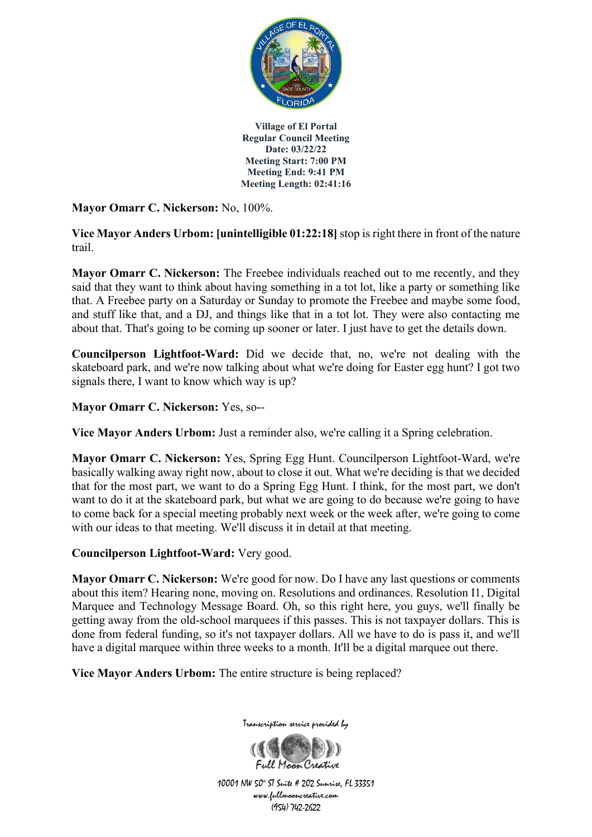

**Mayor Omarr C. Nickerson:** No, 100%.

**Vice Mayor Anders Urbom: [unintelligible 01:22:18]** stop is right there in front of the nature trail.

**Mayor Omarr C. Nickerson:** The Freebee individuals reached out to me recently, and they said that they want to think about having something in a tot lot, like a party or something like that. A Freebee party on a Saturday or Sunday to promote the Freebee and maybe some food, and stuff like that, and a DJ, and things like that in a tot lot. They were also contacting me about that. That's going to be coming up sooner or later. I just have to get the details down.

**Councilperson Lightfoot-Ward:** Did we decide that, no, we're not dealing with the skateboard park, and we're now talking about what we're doing for Easter egg hunt? I got two signals there, I want to know which way is up?

**Mayor Omarr C. Nickerson:** Yes, so--

**Vice Mayor Anders Urbom:** Just a reminder also, we're calling it a Spring celebration.

**Mayor Omarr C. Nickerson:** Yes, Spring Egg Hunt. Councilperson Lightfoot-Ward, we're basically walking away right now, about to close it out. What we're deciding is that we decided that for the most part, we want to do a Spring Egg Hunt. I think, for the most part, we don't want to do it at the skateboard park, but what we are going to do because we're going to have to come back for a special meeting probably next week or the week after, we're going to come with our ideas to that meeting. We'll discuss it in detail at that meeting.

**Councilperson Lightfoot-Ward:** Very good.

**Mayor Omarr C. Nickerson:** We're good for now. Do I have any last questions or comments about this item? Hearing none, moving on. Resolutions and ordinances. Resolution I1, Digital Marquee and Technology Message Board. Oh, so this right here, you guys, we'll finally be getting away from the old-school marquees if this passes. This is not taxpayer dollars. This is done from federal funding, so it's not taxpayer dollars. All we have to do is pass it, and we'll have a digital marquee within three weeks to a month. It'll be a digital marquee out there.

**Vice Mayor Anders Urbom:** The entire structure is being replaced?



Transcription service provided by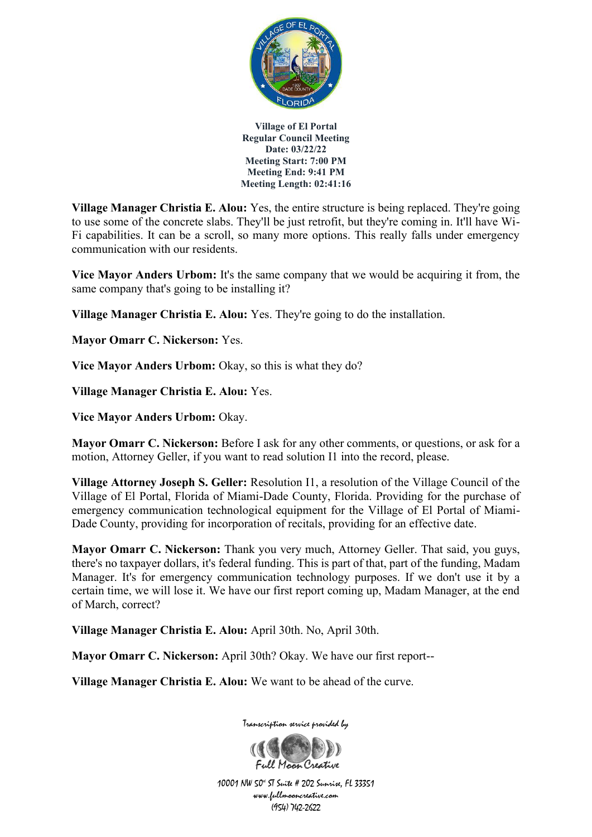

**Village Manager Christia E. Alou:** Yes, the entire structure is being replaced. They're going to use some of the concrete slabs. They'll be just retrofit, but they're coming in. It'll have Wi-Fi capabilities. It can be a scroll, so many more options. This really falls under emergency communication with our residents.

**Vice Mayor Anders Urbom:** It's the same company that we would be acquiring it from, the same company that's going to be installing it?

**Village Manager Christia E. Alou:** Yes. They're going to do the installation.

**Mayor Omarr C. Nickerson:** Yes.

**Vice Mayor Anders Urbom:** Okay, so this is what they do?

**Village Manager Christia E. Alou:** Yes.

**Vice Mayor Anders Urbom:** Okay.

**Mayor Omarr C. Nickerson:** Before I ask for any other comments, or questions, or ask for a motion, Attorney Geller, if you want to read solution I1 into the record, please.

**Village Attorney Joseph S. Geller:** Resolution I1, a resolution of the Village Council of the Village of El Portal, Florida of Miami-Dade County, Florida. Providing for the purchase of emergency communication technological equipment for the Village of El Portal of Miami-Dade County, providing for incorporation of recitals, providing for an effective date.

**Mayor Omarr C. Nickerson:** Thank you very much, Attorney Geller. That said, you guys, there's no taxpayer dollars, it's federal funding. This is part of that, part of the funding, Madam Manager. It's for emergency communication technology purposes. If we don't use it by a certain time, we will lose it. We have our first report coming up, Madam Manager, at the end of March, correct?

**Village Manager Christia E. Alou:** April 30th. No, April 30th.

**Mayor Omarr C. Nickerson:** April 30th? Okay. We have our first report--

**Village Manager Christia E. Alou:** We want to be ahead of the curve.



Transcription service provided by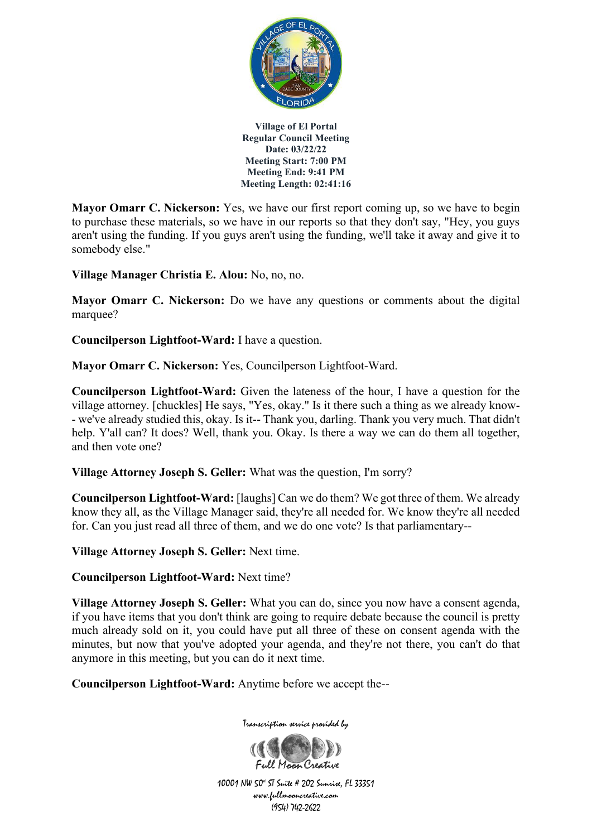

**Mayor Omarr C. Nickerson:** Yes, we have our first report coming up, so we have to begin to purchase these materials, so we have in our reports so that they don't say, "Hey, you guys aren't using the funding. If you guys aren't using the funding, we'll take it away and give it to somebody else."

**Village Manager Christia E. Alou:** No, no, no.

**Mayor Omarr C. Nickerson:** Do we have any questions or comments about the digital marquee?

**Councilperson Lightfoot-Ward:** I have a question.

**Mayor Omarr C. Nickerson:** Yes, Councilperson Lightfoot-Ward.

**Councilperson Lightfoot-Ward:** Given the lateness of the hour, I have a question for the village attorney. [chuckles] He says, "Yes, okay." Is it there such a thing as we already know- - we've already studied this, okay. Is it-- Thank you, darling. Thank you very much. That didn't help. Y'all can? It does? Well, thank you. Okay. Is there a way we can do them all together, and then vote one?

**Village Attorney Joseph S. Geller:** What was the question, I'm sorry?

**Councilperson Lightfoot-Ward:** [laughs] Can we do them? We got three of them. We already know they all, as the Village Manager said, they're all needed for. We know they're all needed for. Can you just read all three of them, and we do one vote? Is that parliamentary--

**Village Attorney Joseph S. Geller:** Next time.

**Councilperson Lightfoot-Ward:** Next time?

**Village Attorney Joseph S. Geller:** What you can do, since you now have a consent agenda, if you have items that you don't think are going to require debate because the council is pretty much already sold on it, you could have put all three of these on consent agenda with the minutes, but now that you've adopted your agenda, and they're not there, you can't do that anymore in this meeting, but you can do it next time.

**Councilperson Lightfoot-Ward:** Anytime before we accept the--



Transcription service provided by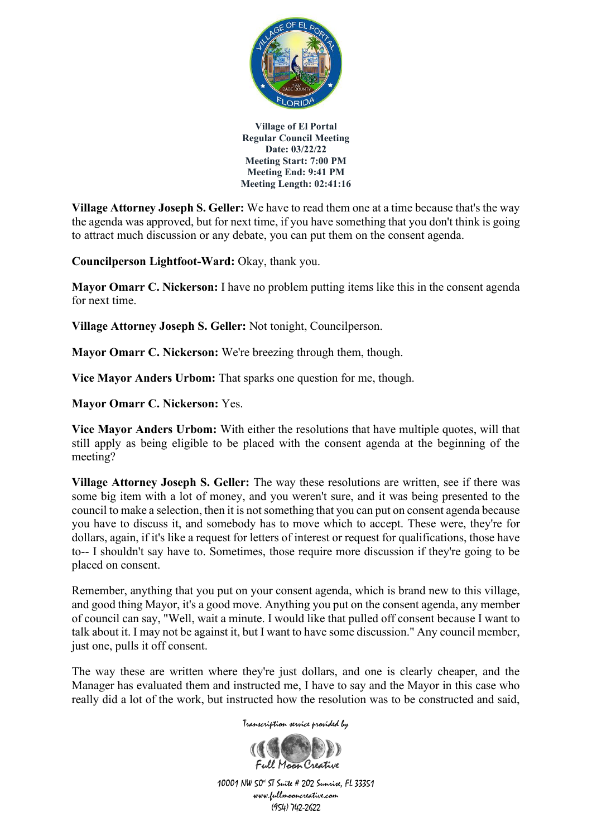

**Village Attorney Joseph S. Geller:** We have to read them one at a time because that's the way the agenda was approved, but for next time, if you have something that you don't think is going to attract much discussion or any debate, you can put them on the consent agenda.

**Councilperson Lightfoot-Ward:** Okay, thank you.

**Mayor Omarr C. Nickerson:** I have no problem putting items like this in the consent agenda for next time.

**Village Attorney Joseph S. Geller:** Not tonight, Councilperson.

**Mayor Omarr C. Nickerson:** We're breezing through them, though.

**Vice Mayor Anders Urbom:** That sparks one question for me, though.

**Mayor Omarr C. Nickerson:** Yes.

**Vice Mayor Anders Urbom:** With either the resolutions that have multiple quotes, will that still apply as being eligible to be placed with the consent agenda at the beginning of the meeting?

**Village Attorney Joseph S. Geller:** The way these resolutions are written, see if there was some big item with a lot of money, and you weren't sure, and it was being presented to the council to make a selection, then it is not something that you can put on consent agenda because you have to discuss it, and somebody has to move which to accept. These were, they're for dollars, again, if it's like a request for letters of interest or request for qualifications, those have to-- I shouldn't say have to. Sometimes, those require more discussion if they're going to be placed on consent.

Remember, anything that you put on your consent agenda, which is brand new to this village, and good thing Mayor, it's a good move. Anything you put on the consent agenda, any member of council can say, "Well, wait a minute. I would like that pulled off consent because I want to talk about it. I may not be against it, but I want to have some discussion." Any council member, just one, pulls it off consent.

The way these are written where they're just dollars, and one is clearly cheaper, and the Manager has evaluated them and instructed me, I have to say and the Mayor in this case who really did a lot of the work, but instructed how the resolution was to be constructed and said,

Transcription service provided by

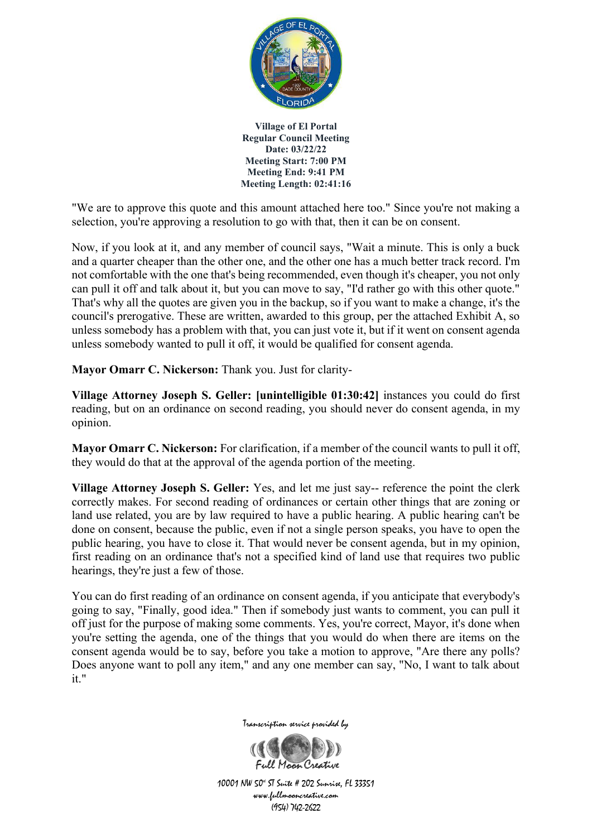

"We are to approve this quote and this amount attached here too." Since you're not making a selection, you're approving a resolution to go with that, then it can be on consent.

Now, if you look at it, and any member of council says, "Wait a minute. This is only a buck and a quarter cheaper than the other one, and the other one has a much better track record. I'm not comfortable with the one that's being recommended, even though it's cheaper, you not only can pull it off and talk about it, but you can move to say, "I'd rather go with this other quote." That's why all the quotes are given you in the backup, so if you want to make a change, it's the council's prerogative. These are written, awarded to this group, per the attached Exhibit A, so unless somebody has a problem with that, you can just vote it, but if it went on consent agenda unless somebody wanted to pull it off, it would be qualified for consent agenda.

**Mayor Omarr C. Nickerson:** Thank you. Just for clarity-

**Village Attorney Joseph S. Geller: [unintelligible 01:30:42]** instances you could do first reading, but on an ordinance on second reading, you should never do consent agenda, in my opinion.

**Mayor Omarr C. Nickerson:** For clarification, if a member of the council wants to pull it off, they would do that at the approval of the agenda portion of the meeting.

**Village Attorney Joseph S. Geller:** Yes, and let me just say-- reference the point the clerk correctly makes. For second reading of ordinances or certain other things that are zoning or land use related, you are by law required to have a public hearing. A public hearing can't be done on consent, because the public, even if not a single person speaks, you have to open the public hearing, you have to close it. That would never be consent agenda, but in my opinion, first reading on an ordinance that's not a specified kind of land use that requires two public hearings, they're just a few of those.

You can do first reading of an ordinance on consent agenda, if you anticipate that everybody's going to say, "Finally, good idea." Then if somebody just wants to comment, you can pull it off just for the purpose of making some comments. Yes, you're correct, Mayor, it's done when you're setting the agenda, one of the things that you would do when there are items on the consent agenda would be to say, before you take a motion to approve, "Are there any polls? Does anyone want to poll any item," and any one member can say, "No, I want to talk about it."

Transcription service provided by

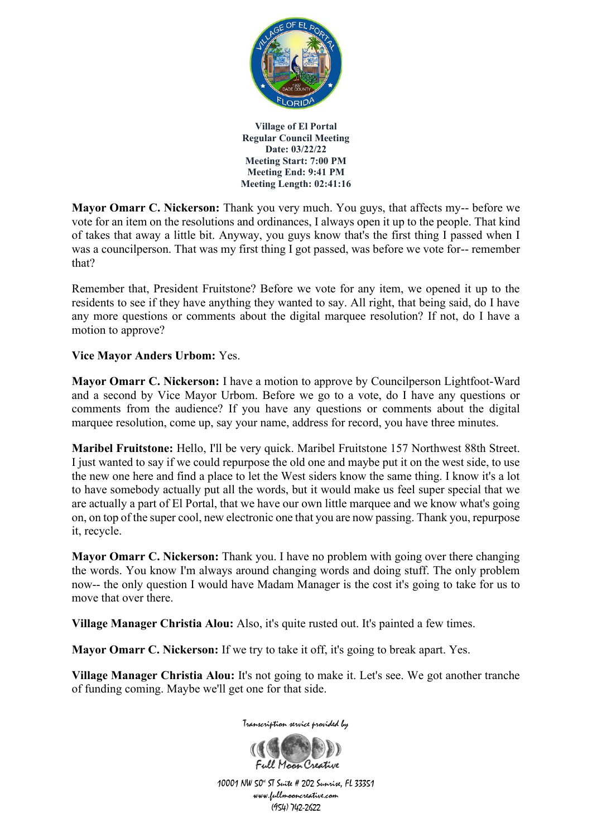

**Mayor Omarr C. Nickerson:** Thank you very much. You guys, that affects my-- before we vote for an item on the resolutions and ordinances, I always open it up to the people. That kind of takes that away a little bit. Anyway, you guys know that's the first thing I passed when I was a councilperson. That was my first thing I got passed, was before we vote for-- remember that?

Remember that, President Fruitstone? Before we vote for any item, we opened it up to the residents to see if they have anything they wanted to say. All right, that being said, do I have any more questions or comments about the digital marquee resolution? If not, do I have a motion to approve?

### **Vice Mayor Anders Urbom:** Yes.

**Mayor Omarr C. Nickerson:** I have a motion to approve by Councilperson Lightfoot-Ward and a second by Vice Mayor Urbom. Before we go to a vote, do I have any questions or comments from the audience? If you have any questions or comments about the digital marquee resolution, come up, say your name, address for record, you have three minutes.

**Maribel Fruitstone:** Hello, I'll be very quick. Maribel Fruitstone 157 Northwest 88th Street. I just wanted to say if we could repurpose the old one and maybe put it on the west side, to use the new one here and find a place to let the West siders know the same thing. I know it's a lot to have somebody actually put all the words, but it would make us feel super special that we are actually a part of El Portal, that we have our own little marquee and we know what's going on, on top of the super cool, new electronic one that you are now passing. Thank you, repurpose it, recycle.

**Mayor Omarr C. Nickerson:** Thank you. I have no problem with going over there changing the words. You know I'm always around changing words and doing stuff. The only problem now-- the only question I would have Madam Manager is the cost it's going to take for us to move that over there.

**Village Manager Christia Alou:** Also, it's quite rusted out. It's painted a few times.

**Mayor Omarr C. Nickerson:** If we try to take it off, it's going to break apart. Yes.

**Village Manager Christia Alou:** It's not going to make it. Let's see. We got another tranche of funding coming. Maybe we'll get one for that side.



Transcription service provided by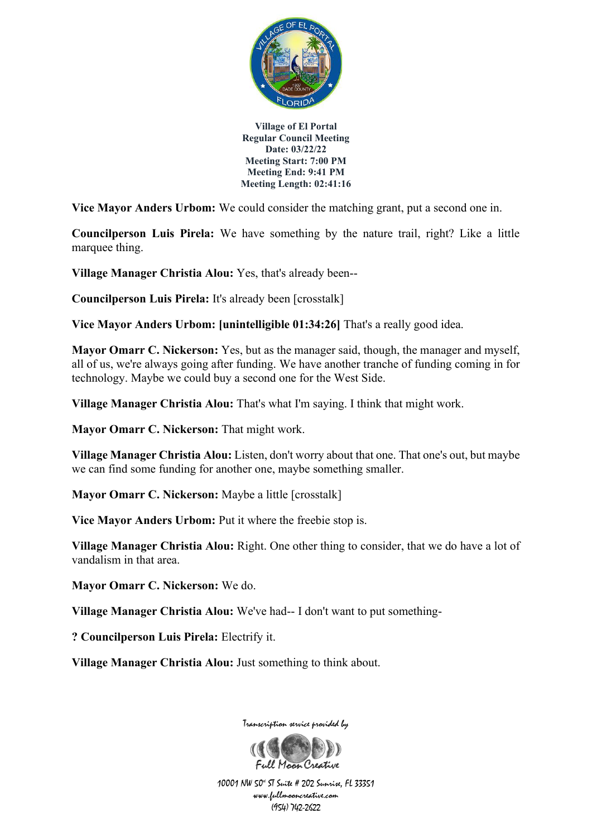

**Vice Mayor Anders Urbom:** We could consider the matching grant, put a second one in.

**Councilperson Luis Pirela:** We have something by the nature trail, right? Like a little marquee thing.

**Village Manager Christia Alou:** Yes, that's already been--

**Councilperson Luis Pirela:** It's already been [crosstalk]

**Vice Mayor Anders Urbom: [unintelligible 01:34:26]** That's a really good idea.

**Mayor Omarr C. Nickerson:** Yes, but as the manager said, though, the manager and myself, all of us, we're always going after funding. We have another tranche of funding coming in for technology. Maybe we could buy a second one for the West Side.

**Village Manager Christia Alou:** That's what I'm saying. I think that might work.

**Mayor Omarr C. Nickerson:** That might work.

**Village Manager Christia Alou:** Listen, don't worry about that one. That one's out, but maybe we can find some funding for another one, maybe something smaller.

**Mayor Omarr C. Nickerson:** Maybe a little [crosstalk]

**Vice Mayor Anders Urbom:** Put it where the freebie stop is.

**Village Manager Christia Alou:** Right. One other thing to consider, that we do have a lot of vandalism in that area.

**Mayor Omarr C. Nickerson:** We do.

**Village Manager Christia Alou:** We've had-- I don't want to put something-

**? Councilperson Luis Pirela:** Electrify it.

**Village Manager Christia Alou:** Just something to think about.

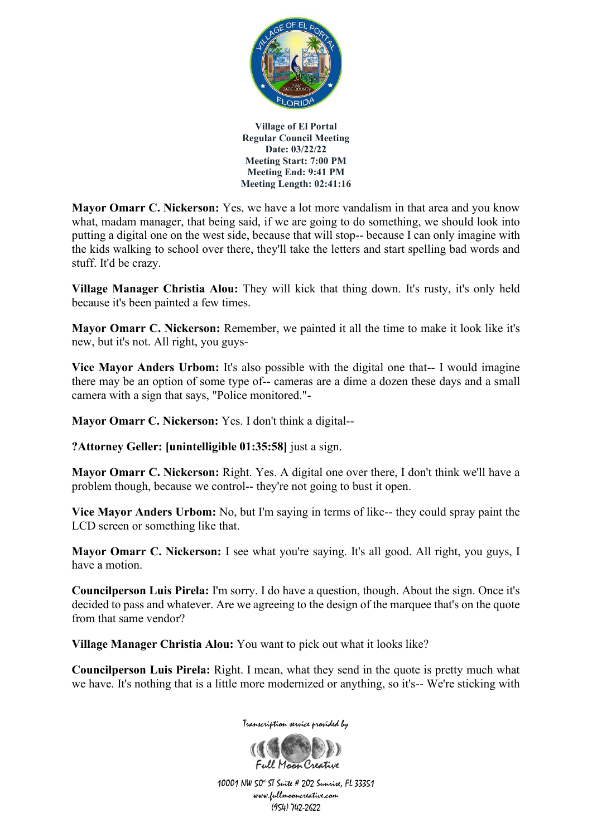

**Mayor Omarr C. Nickerson:** Yes, we have a lot more vandalism in that area and you know what, madam manager, that being said, if we are going to do something, we should look into putting a digital one on the west side, because that will stop-- because I can only imagine with the kids walking to school over there, they'll take the letters and start spelling bad words and stuff. It'd be crazy.

**Village Manager Christia Alou:** They will kick that thing down. It's rusty, it's only held because it's been painted a few times.

**Mayor Omarr C. Nickerson:** Remember, we painted it all the time to make it look like it's new, but it's not. All right, you guys-

**Vice Mayor Anders Urbom:** It's also possible with the digital one that-- I would imagine there may be an option of some type of-- cameras are a dime a dozen these days and a small camera with a sign that says, "Police monitored."-

**Mayor Omarr C. Nickerson:** Yes. I don't think a digital--

**?Attorney Geller: [unintelligible 01:35:58]** just a sign.

**Mayor Omarr C. Nickerson:** Right. Yes. A digital one over there, I don't think we'll have a problem though, because we control-- they're not going to bust it open.

**Vice Mayor Anders Urbom:** No, but I'm saying in terms of like-- they could spray paint the LCD screen or something like that.

**Mayor Omarr C. Nickerson:** I see what you're saying. It's all good. All right, you guys, I have a motion.

**Councilperson Luis Pirela:** I'm sorry. I do have a question, though. About the sign. Once it's decided to pass and whatever. Are we agreeing to the design of the marquee that's on the quote from that same vendor?

**Village Manager Christia Alou:** You want to pick out what it looks like?

**Councilperson Luis Pirela:** Right. I mean, what they send in the quote is pretty much what we have. It's nothing that is a little more modernized or anything, so it's-- We're sticking with



Transcription service provided by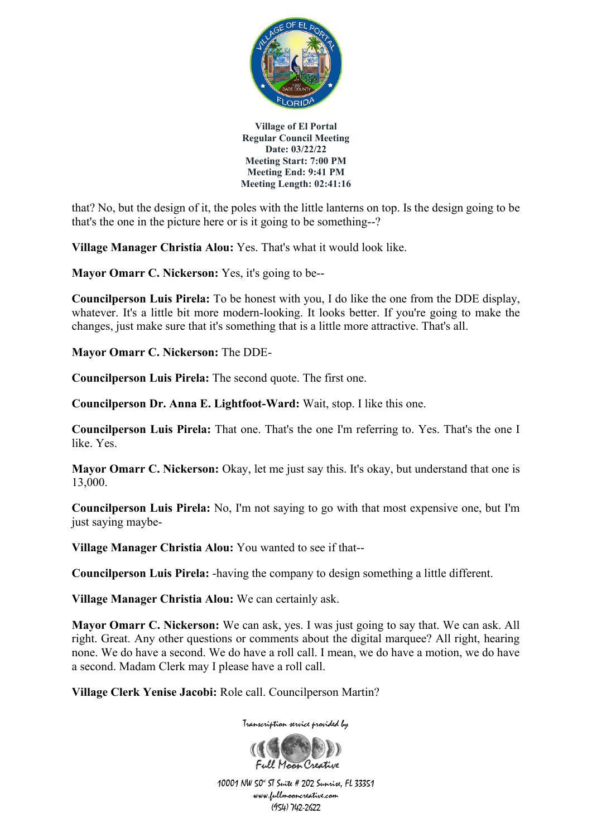

that? No, but the design of it, the poles with the little lanterns on top. Is the design going to be that's the one in the picture here or is it going to be something--?

**Village Manager Christia Alou:** Yes. That's what it would look like.

**Mayor Omarr C. Nickerson:** Yes, it's going to be--

**Councilperson Luis Pirela:** To be honest with you, I do like the one from the DDE display, whatever. It's a little bit more modern-looking. It looks better. If you're going to make the changes, just make sure that it's something that is a little more attractive. That's all.

**Mayor Omarr C. Nickerson:** The DDE-

**Councilperson Luis Pirela:** The second quote. The first one.

**Councilperson Dr. Anna E. Lightfoot-Ward:** Wait, stop. I like this one.

**Councilperson Luis Pirela:** That one. That's the one I'm referring to. Yes. That's the one I like. Yes.

**Mayor Omarr C. Nickerson:** Okay, let me just say this. It's okay, but understand that one is 13,000.

**Councilperson Luis Pirela:** No, I'm not saying to go with that most expensive one, but I'm just saying maybe-

**Village Manager Christia Alou:** You wanted to see if that--

**Councilperson Luis Pirela:** -having the company to design something a little different.

**Village Manager Christia Alou:** We can certainly ask.

**Mayor Omarr C. Nickerson:** We can ask, yes. I was just going to say that. We can ask. All right. Great. Any other questions or comments about the digital marquee? All right, hearing none. We do have a second. We do have a roll call. I mean, we do have a motion, we do have a second. Madam Clerk may I please have a roll call.

**Village Clerk Yenise Jacobi:** Role call. Councilperson Martin?

Transcription service provided by

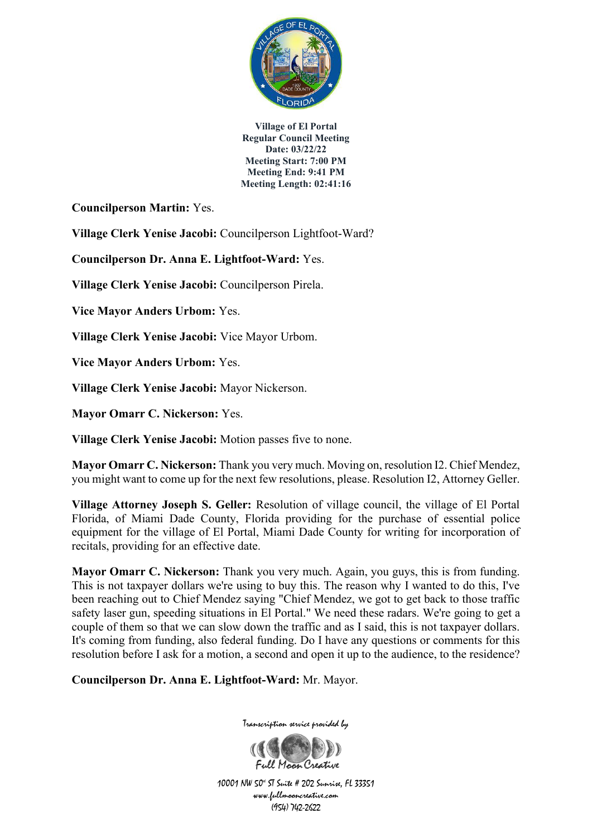

**Councilperson Martin:** Yes.

**Village Clerk Yenise Jacobi:** Councilperson Lightfoot-Ward?

**Councilperson Dr. Anna E. Lightfoot-Ward:** Yes.

**Village Clerk Yenise Jacobi:** Councilperson Pirela.

**Vice Mayor Anders Urbom:** Yes.

**Village Clerk Yenise Jacobi:** Vice Mayor Urbom.

**Vice Mayor Anders Urbom:** Yes.

**Village Clerk Yenise Jacobi:** Mayor Nickerson.

**Mayor Omarr C. Nickerson:** Yes.

**Village Clerk Yenise Jacobi:** Motion passes five to none.

**Mayor Omarr C. Nickerson:** Thank you very much. Moving on, resolution I2. Chief Mendez, you might want to come up for the next few resolutions, please. Resolution I2, Attorney Geller.

**Village Attorney Joseph S. Geller:** Resolution of village council, the village of El Portal Florida, of Miami Dade County, Florida providing for the purchase of essential police equipment for the village of El Portal, Miami Dade County for writing for incorporation of recitals, providing for an effective date.

**Mayor Omarr C. Nickerson:** Thank you very much. Again, you guys, this is from funding. This is not taxpayer dollars we're using to buy this. The reason why I wanted to do this, I've been reaching out to Chief Mendez saying "Chief Mendez, we got to get back to those traffic safety laser gun, speeding situations in El Portal." We need these radars. We're going to get a couple of them so that we can slow down the traffic and as I said, this is not taxpayer dollars. It's coming from funding, also federal funding. Do I have any questions or comments for this resolution before I ask for a motion, a second and open it up to the audience, to the residence?

**Councilperson Dr. Anna E. Lightfoot-Ward:** Mr. Mayor.



10001 NW 50<sup>\*</sup> ST Suite # 202 Sunrise, FL 33351 www.fullmooncreative.com (954) 742-2622

Full Maan Creative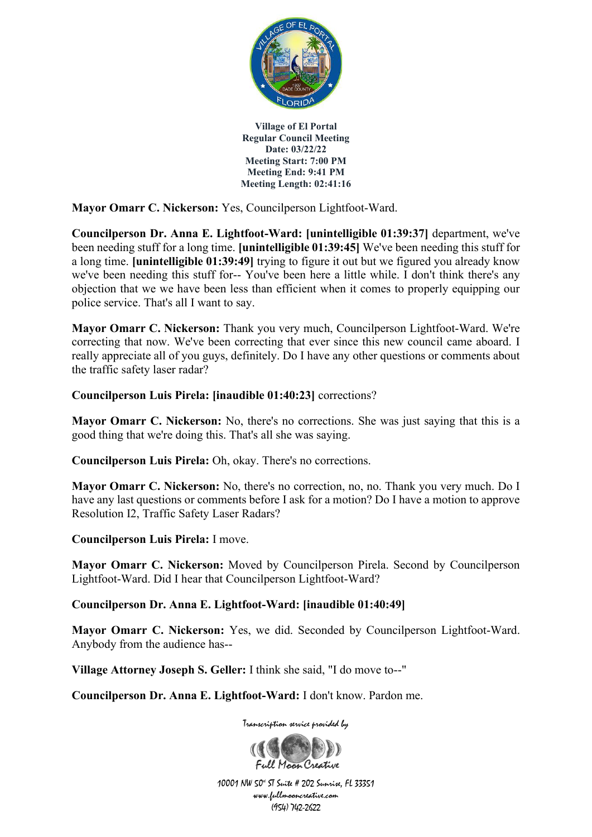

**Mayor Omarr C. Nickerson:** Yes, Councilperson Lightfoot-Ward.

**Councilperson Dr. Anna E. Lightfoot-Ward: [unintelligible 01:39:37]** department, we've been needing stuff for a long time. **[unintelligible 01:39:45]** We've been needing this stuff for a long time. **[unintelligible 01:39:49]** trying to figure it out but we figured you already know we've been needing this stuff for-- You've been here a little while. I don't think there's any objection that we we have been less than efficient when it comes to properly equipping our police service. That's all I want to say.

**Mayor Omarr C. Nickerson:** Thank you very much, Councilperson Lightfoot-Ward. We're correcting that now. We've been correcting that ever since this new council came aboard. I really appreciate all of you guys, definitely. Do I have any other questions or comments about the traffic safety laser radar?

### **Councilperson Luis Pirela: [inaudible 01:40:23]** corrections?

**Mayor Omarr C. Nickerson:** No, there's no corrections. She was just saying that this is a good thing that we're doing this. That's all she was saying.

**Councilperson Luis Pirela:** Oh, okay. There's no corrections.

**Mayor Omarr C. Nickerson:** No, there's no correction, no, no. Thank you very much. Do I have any last questions or comments before I ask for a motion? Do I have a motion to approve Resolution I2, Traffic Safety Laser Radars?

**Councilperson Luis Pirela:** I move.

**Mayor Omarr C. Nickerson:** Moved by Councilperson Pirela. Second by Councilperson Lightfoot-Ward. Did I hear that Councilperson Lightfoot-Ward?

### **Councilperson Dr. Anna E. Lightfoot-Ward: [inaudible 01:40:49]**

**Mayor Omarr C. Nickerson:** Yes, we did. Seconded by Councilperson Lightfoot-Ward. Anybody from the audience has--

**Village Attorney Joseph S. Geller:** I think she said, "I do move to--"

**Councilperson Dr. Anna E. Lightfoot-Ward:** I don't know. Pardon me.

Transcription service provided by

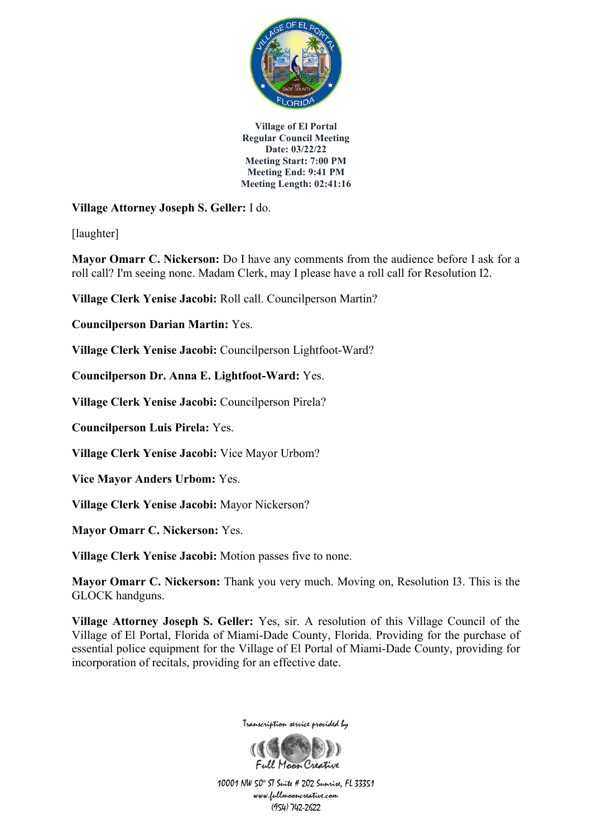

**Village Attorney Joseph S. Geller:** I do.

[laughter]

**Mayor Omarr C. Nickerson:** Do I have any comments from the audience before I ask for a roll call? I'm seeing none. Madam Clerk, may I please have a roll call for Resolution I2.

**Village Clerk Yenise Jacobi:** Roll call. Councilperson Martin?

**Councilperson Darian Martin:** Yes.

**Village Clerk Yenise Jacobi:** Councilperson Lightfoot-Ward?

**Councilperson Dr. Anna E. Lightfoot-Ward:** Yes.

**Village Clerk Yenise Jacobi:** Councilperson Pirela?

**Councilperson Luis Pirela:** Yes.

**Village Clerk Yenise Jacobi:** Vice Mayor Urbom?

**Vice Mayor Anders Urbom:** Yes.

**Village Clerk Yenise Jacobi:** Mayor Nickerson?

**Mayor Omarr C. Nickerson:** Yes.

**Village Clerk Yenise Jacobi:** Motion passes five to none.

**Mayor Omarr C. Nickerson:** Thank you very much. Moving on, Resolution I3. This is the GLOCK handguns.

**Village Attorney Joseph S. Geller:** Yes, sir. A resolution of this Village Council of the Village of El Portal, Florida of Miami-Dade County, Florida. Providing for the purchase of essential police equipment for the Village of El Portal of Miami-Dade County, providing for incorporation of recitals, providing for an effective date.



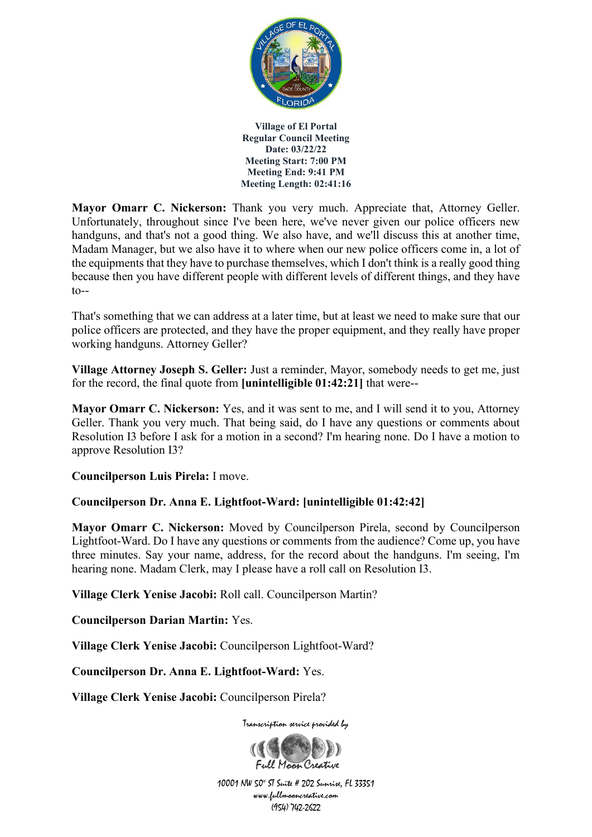

**Mayor Omarr C. Nickerson:** Thank you very much. Appreciate that, Attorney Geller. Unfortunately, throughout since I've been here, we've never given our police officers new handguns, and that's not a good thing. We also have, and we'll discuss this at another time, Madam Manager, but we also have it to where when our new police officers come in, a lot of the equipments that they have to purchase themselves, which I don't think is a really good thing because then you have different people with different levels of different things, and they have  $to--$ 

That's something that we can address at a later time, but at least we need to make sure that our police officers are protected, and they have the proper equipment, and they really have proper working handguns. Attorney Geller?

**Village Attorney Joseph S. Geller:** Just a reminder, Mayor, somebody needs to get me, just for the record, the final quote from **[unintelligible 01:42:21]** that were--

**Mayor Omarr C. Nickerson:** Yes, and it was sent to me, and I will send it to you, Attorney Geller. Thank you very much. That being said, do I have any questions or comments about Resolution I3 before I ask for a motion in a second? I'm hearing none. Do I have a motion to approve Resolution I3?

**Councilperson Luis Pirela:** I move.

### **Councilperson Dr. Anna E. Lightfoot-Ward: [unintelligible 01:42:42]**

**Mayor Omarr C. Nickerson:** Moved by Councilperson Pirela, second by Councilperson Lightfoot-Ward. Do I have any questions or comments from the audience? Come up, you have three minutes. Say your name, address, for the record about the handguns. I'm seeing, I'm hearing none. Madam Clerk, may I please have a roll call on Resolution I3.

**Village Clerk Yenise Jacobi:** Roll call. Councilperson Martin?

**Councilperson Darian Martin:** Yes.

**Village Clerk Yenise Jacobi:** Councilperson Lightfoot-Ward?

**Councilperson Dr. Anna E. Lightfoot-Ward:** Yes.

**Village Clerk Yenise Jacobi:** Councilperson Pirela?



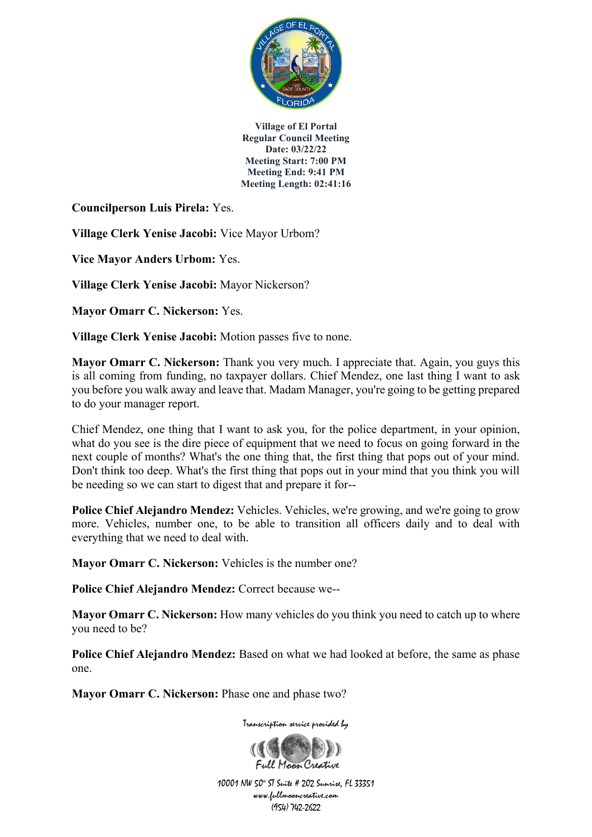

**Councilperson Luis Pirela:** Yes.

**Village Clerk Yenise Jacobi:** Vice Mayor Urbom?

**Vice Mayor Anders Urbom:** Yes.

**Village Clerk Yenise Jacobi:** Mayor Nickerson?

**Mayor Omarr C. Nickerson:** Yes.

**Village Clerk Yenise Jacobi:** Motion passes five to none.

**Mayor Omarr C. Nickerson:** Thank you very much. I appreciate that. Again, you guys this is all coming from funding, no taxpayer dollars. Chief Mendez, one last thing I want to ask you before you walk away and leave that. Madam Manager, you're going to be getting prepared to do your manager report.

Chief Mendez, one thing that I want to ask you, for the police department, in your opinion, what do you see is the dire piece of equipment that we need to focus on going forward in the next couple of months? What's the one thing that, the first thing that pops out of your mind. Don't think too deep. What's the first thing that pops out in your mind that you think you will be needing so we can start to digest that and prepare it for--

**Police Chief Alejandro Mendez:** Vehicles. Vehicles, we're growing, and we're going to grow more. Vehicles, number one, to be able to transition all officers daily and to deal with everything that we need to deal with.

**Mayor Omarr C. Nickerson:** Vehicles is the number one?

**Police Chief Alejandro Mendez:** Correct because we--

**Mayor Omarr C. Nickerson:** How many vehicles do you think you need to catch up to where you need to be?

**Police Chief Alejandro Mendez:** Based on what we had looked at before, the same as phase one.

**Mayor Omarr C. Nickerson:** Phase one and phase two?

Transcription service provided by

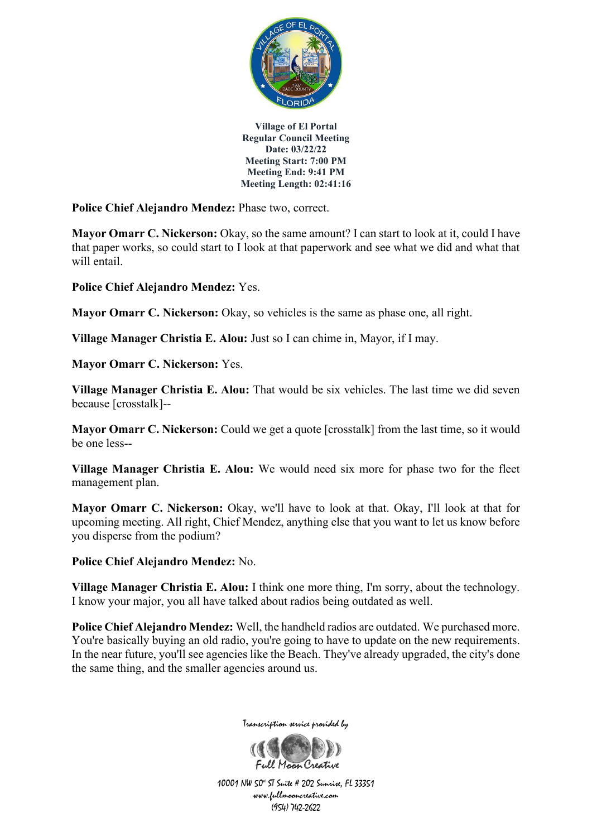

**Police Chief Alejandro Mendez:** Phase two, correct.

**Mayor Omarr C. Nickerson:** Okay, so the same amount? I can start to look at it, could I have that paper works, so could start to I look at that paperwork and see what we did and what that will entail.

**Police Chief Alejandro Mendez:** Yes.

**Mayor Omarr C. Nickerson:** Okay, so vehicles is the same as phase one, all right.

**Village Manager Christia E. Alou:** Just so I can chime in, Mayor, if I may.

**Mayor Omarr C. Nickerson:** Yes.

**Village Manager Christia E. Alou:** That would be six vehicles. The last time we did seven because [crosstalk]--

**Mayor Omarr C. Nickerson:** Could we get a quote [crosstalk] from the last time, so it would be one less--

**Village Manager Christia E. Alou:** We would need six more for phase two for the fleet management plan.

**Mayor Omarr C. Nickerson:** Okay, we'll have to look at that. Okay, I'll look at that for upcoming meeting. All right, Chief Mendez, anything else that you want to let us know before you disperse from the podium?

**Police Chief Alejandro Mendez:** No.

**Village Manager Christia E. Alou:** I think one more thing, I'm sorry, about the technology. I know your major, you all have talked about radios being outdated as well.

**Police Chief Alejandro Mendez:** Well, the handheld radios are outdated. We purchased more. You're basically buying an old radio, you're going to have to update on the new requirements. In the near future, you'll see agencies like the Beach. They've already upgraded, the city's done the same thing, and the smaller agencies around us.



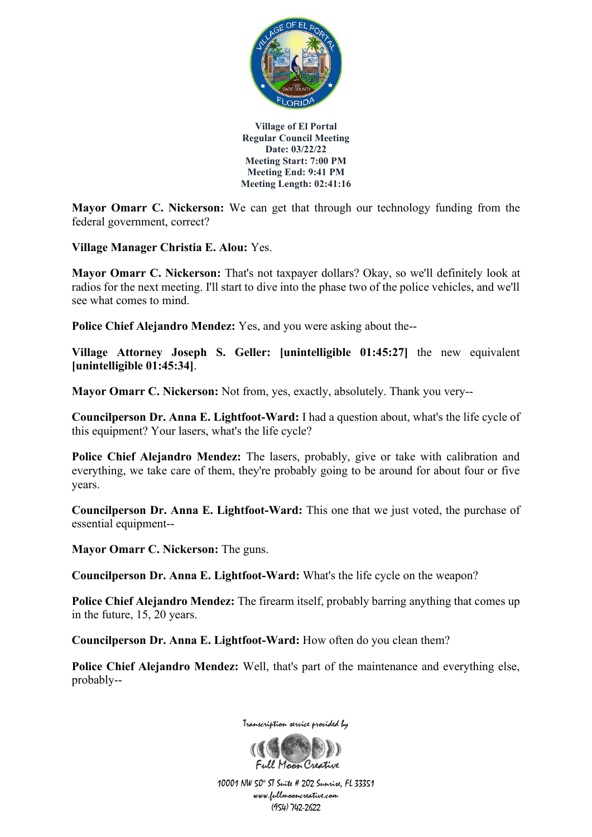

**Mayor Omarr C. Nickerson:** We can get that through our technology funding from the federal government, correct?

**Village Manager Christia E. Alou:** Yes.

**Mayor Omarr C. Nickerson:** That's not taxpayer dollars? Okay, so we'll definitely look at radios for the next meeting. I'll start to dive into the phase two of the police vehicles, and we'll see what comes to mind.

**Police Chief Alejandro Mendez:** Yes, and you were asking about the--

**Village Attorney Joseph S. Geller: [unintelligible 01:45:27]** the new equivalent **[unintelligible 01:45:34]**.

**Mayor Omarr C. Nickerson:** Not from, yes, exactly, absolutely. Thank you very--

**Councilperson Dr. Anna E. Lightfoot-Ward:** I had a question about, what's the life cycle of this equipment? Your lasers, what's the life cycle?

**Police Chief Alejandro Mendez:** The lasers, probably, give or take with calibration and everything, we take care of them, they're probably going to be around for about four or five years.

**Councilperson Dr. Anna E. Lightfoot-Ward:** This one that we just voted, the purchase of essential equipment--

**Mayor Omarr C. Nickerson:** The guns.

**Councilperson Dr. Anna E. Lightfoot-Ward:** What's the life cycle on the weapon?

**Police Chief Alejandro Mendez:** The firearm itself, probably barring anything that comes up in the future, 15, 20 years.

**Councilperson Dr. Anna E. Lightfoot-Ward:** How often do you clean them?

**Police Chief Alejandro Mendez:** Well, that's part of the maintenance and everything else, probably--



Transcription service provided by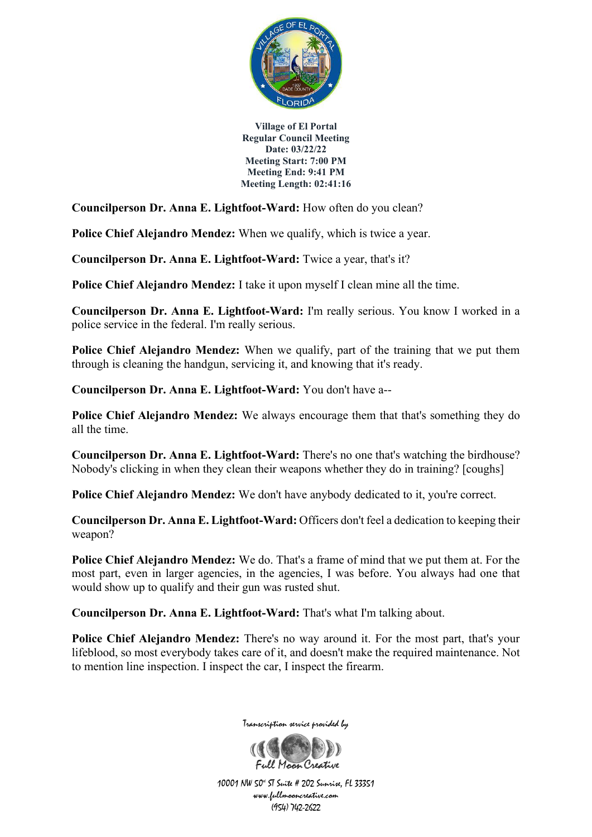

**Councilperson Dr. Anna E. Lightfoot-Ward:** How often do you clean?

**Police Chief Alejandro Mendez:** When we qualify, which is twice a year.

**Councilperson Dr. Anna E. Lightfoot-Ward:** Twice a year, that's it?

**Police Chief Alejandro Mendez:** I take it upon myself I clean mine all the time.

**Councilperson Dr. Anna E. Lightfoot-Ward:** I'm really serious. You know I worked in a police service in the federal. I'm really serious.

**Police Chief Alejandro Mendez:** When we qualify, part of the training that we put them through is cleaning the handgun, servicing it, and knowing that it's ready.

**Councilperson Dr. Anna E. Lightfoot-Ward:** You don't have a--

**Police Chief Alejandro Mendez:** We always encourage them that that's something they do all the time.

**Councilperson Dr. Anna E. Lightfoot-Ward:** There's no one that's watching the birdhouse? Nobody's clicking in when they clean their weapons whether they do in training? [coughs]

**Police Chief Alejandro Mendez:** We don't have anybody dedicated to it, you're correct.

**Councilperson Dr. Anna E. Lightfoot-Ward:** Officers don't feel a dedication to keeping their weapon?

**Police Chief Alejandro Mendez:** We do. That's a frame of mind that we put them at. For the most part, even in larger agencies, in the agencies, I was before. You always had one that would show up to qualify and their gun was rusted shut.

**Councilperson Dr. Anna E. Lightfoot-Ward:** That's what I'm talking about.

**Police Chief Alejandro Mendez:** There's no way around it. For the most part, that's your lifeblood, so most everybody takes care of it, and doesn't make the required maintenance. Not to mention line inspection. I inspect the car, I inspect the firearm.



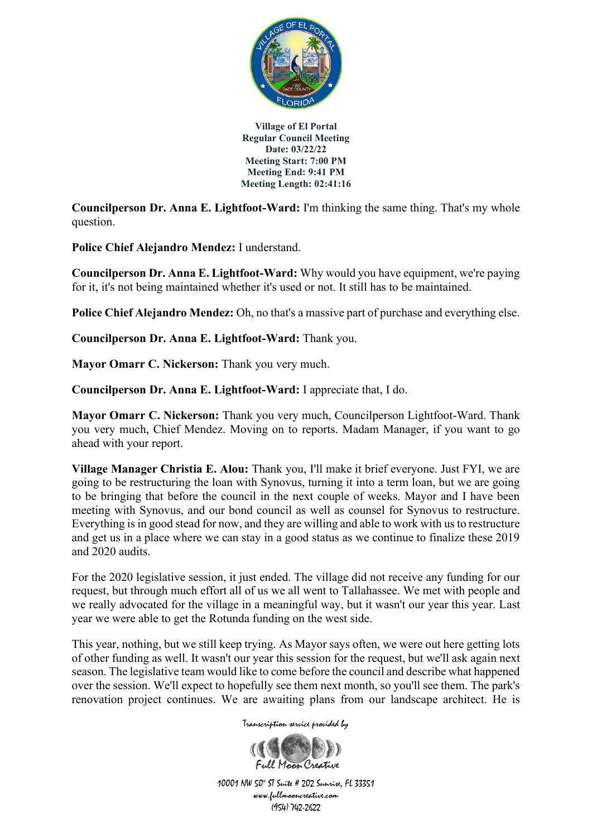

**Councilperson Dr. Anna E. Lightfoot-Ward:** I'm thinking the same thing. That's my whole question.

**Police Chief Alejandro Mendez:** I understand.

**Councilperson Dr. Anna E. Lightfoot-Ward:** Why would you have equipment, we're paying for it, it's not being maintained whether it's used or not. It still has to be maintained.

**Police Chief Alejandro Mendez:** Oh, no that's a massive part of purchase and everything else.

**Councilperson Dr. Anna E. Lightfoot-Ward:** Thank you.

**Mayor Omarr C. Nickerson:** Thank you very much.

**Councilperson Dr. Anna E. Lightfoot-Ward:** I appreciate that, I do.

**Mayor Omarr C. Nickerson:** Thank you very much, Councilperson Lightfoot-Ward. Thank you very much, Chief Mendez. Moving on to reports. Madam Manager, if you want to go ahead with your report.

**Village Manager Christia E. Alou:** Thank you, I'll make it brief everyone. Just FYI, we are going to be restructuring the loan with Synovus, turning it into a term loan, but we are going to be bringing that before the council in the next couple of weeks. Mayor and I have been meeting with Synovus, and our bond council as well as counsel for Synovus to restructure. Everything is in good stead for now, and they are willing and able to work with us to restructure and get us in a place where we can stay in a good status as we continue to finalize these 2019 and 2020 audits.

For the 2020 legislative session, it just ended. The village did not receive any funding for our request, but through much effort all of us we all went to Tallahassee. We met with people and we really advocated for the village in a meaningful way, but it wasn't our year this year. Last year we were able to get the Rotunda funding on the west side.

This year, nothing, but we still keep trying. As Mayor says often, we were out here getting lots of other funding as well. It wasn't our year this session for the request, but we'll ask again next season. The legislative team would like to come before the council and describe what happened over the session. We'll expect to hopefully see them next month, so you'll see them. The park's renovation project continues. We are awaiting plans from our landscape architect. He is

Transcription service provided by

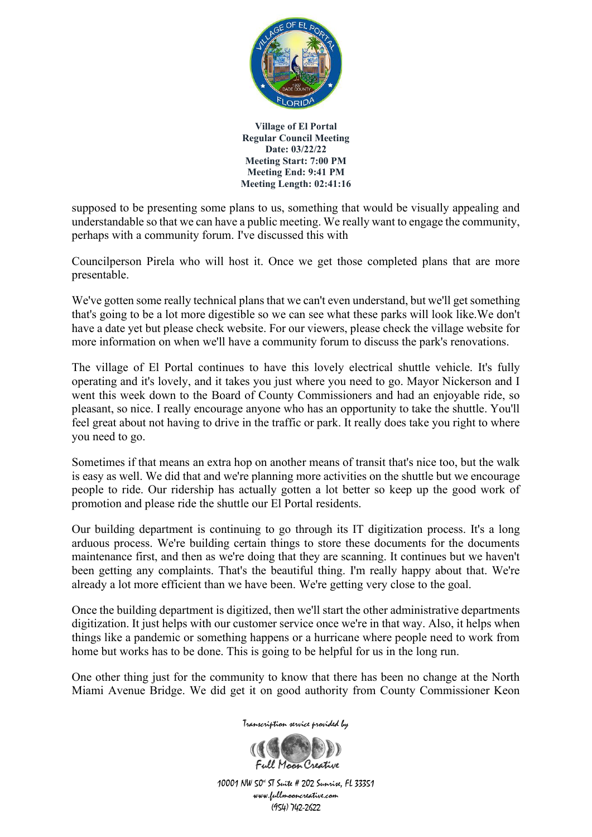

supposed to be presenting some plans to us, something that would be visually appealing and understandable so that we can have a public meeting. We really want to engage the community, perhaps with a community forum. I've discussed this with

Councilperson Pirela who will host it. Once we get those completed plans that are more presentable.

We've gotten some really technical plans that we can't even understand, but we'll get something that's going to be a lot more digestible so we can see what these parks will look like.We don't have a date yet but please check website. For our viewers, please check the village website for more information on when we'll have a community forum to discuss the park's renovations.

The village of El Portal continues to have this lovely electrical shuttle vehicle. It's fully operating and it's lovely, and it takes you just where you need to go. Mayor Nickerson and I went this week down to the Board of County Commissioners and had an enjoyable ride, so pleasant, so nice. I really encourage anyone who has an opportunity to take the shuttle. You'll feel great about not having to drive in the traffic or park. It really does take you right to where you need to go.

Sometimes if that means an extra hop on another means of transit that's nice too, but the walk is easy as well. We did that and we're planning more activities on the shuttle but we encourage people to ride. Our ridership has actually gotten a lot better so keep up the good work of promotion and please ride the shuttle our El Portal residents.

Our building department is continuing to go through its IT digitization process. It's a long arduous process. We're building certain things to store these documents for the documents maintenance first, and then as we're doing that they are scanning. It continues but we haven't been getting any complaints. That's the beautiful thing. I'm really happy about that. We're already a lot more efficient than we have been. We're getting very close to the goal.

Once the building department is digitized, then we'll start the other administrative departments digitization. It just helps with our customer service once we're in that way. Also, it helps when things like a pandemic or something happens or a hurricane where people need to work from home but works has to be done. This is going to be helpful for us in the long run.

One other thing just for the community to know that there has been no change at the North Miami Avenue Bridge. We did get it on good authority from County Commissioner Keon

Transcription service provided by

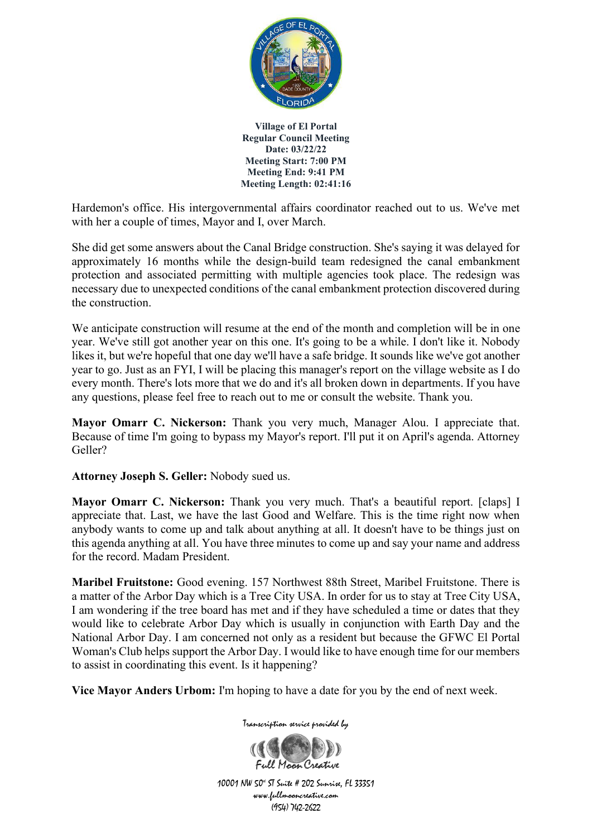

Hardemon's office. His intergovernmental affairs coordinator reached out to us. We've met with her a couple of times, Mayor and I, over March.

She did get some answers about the Canal Bridge construction. She's saying it was delayed for approximately 16 months while the design-build team redesigned the canal embankment protection and associated permitting with multiple agencies took place. The redesign was necessary due to unexpected conditions of the canal embankment protection discovered during the construction.

We anticipate construction will resume at the end of the month and completion will be in one year. We've still got another year on this one. It's going to be a while. I don't like it. Nobody likes it, but we're hopeful that one day we'll have a safe bridge. It sounds like we've got another year to go. Just as an FYI, I will be placing this manager's report on the village website as I do every month. There's lots more that we do and it's all broken down in departments. If you have any questions, please feel free to reach out to me or consult the website. Thank you.

**Mayor Omarr C. Nickerson:** Thank you very much, Manager Alou. I appreciate that. Because of time I'm going to bypass my Mayor's report. I'll put it on April's agenda. Attorney Geller?

**Attorney Joseph S. Geller:** Nobody sued us.

**Mayor Omarr C. Nickerson:** Thank you very much. That's a beautiful report. [claps] I appreciate that. Last, we have the last Good and Welfare. This is the time right now when anybody wants to come up and talk about anything at all. It doesn't have to be things just on this agenda anything at all. You have three minutes to come up and say your name and address for the record. Madam President.

**Maribel Fruitstone:** Good evening. 157 Northwest 88th Street, Maribel Fruitstone. There is a matter of the Arbor Day which is a Tree City USA. In order for us to stay at Tree City USA, I am wondering if the tree board has met and if they have scheduled a time or dates that they would like to celebrate Arbor Day which is usually in conjunction with Earth Day and the National Arbor Day. I am concerned not only as a resident but because the GFWC El Portal Woman's Club helps support the Arbor Day. I would like to have enough time for our members to assist in coordinating this event. Is it happening?

**Vice Mayor Anders Urbom:** I'm hoping to have a date for you by the end of next week.



Transcription service provided by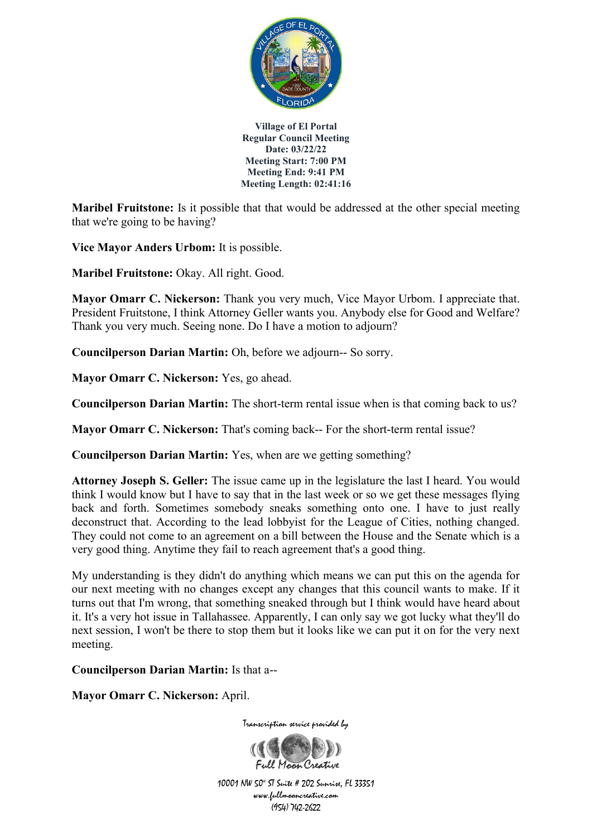

**Maribel Fruitstone:** Is it possible that that would be addressed at the other special meeting that we're going to be having?

**Vice Mayor Anders Urbom:** It is possible.

**Maribel Fruitstone:** Okay. All right. Good.

**Mayor Omarr C. Nickerson:** Thank you very much, Vice Mayor Urbom. I appreciate that. President Fruitstone, I think Attorney Geller wants you. Anybody else for Good and Welfare? Thank you very much. Seeing none. Do I have a motion to adjourn?

**Councilperson Darian Martin:** Oh, before we adjourn-- So sorry.

**Mayor Omarr C. Nickerson:** Yes, go ahead.

**Councilperson Darian Martin:** The short-term rental issue when is that coming back to us?

**Mayor Omarr C. Nickerson:** That's coming back-- For the short-term rental issue?

**Councilperson Darian Martin:** Yes, when are we getting something?

**Attorney Joseph S. Geller:** The issue came up in the legislature the last I heard. You would think I would know but I have to say that in the last week or so we get these messages flying back and forth. Sometimes somebody sneaks something onto one. I have to just really deconstruct that. According to the lead lobbyist for the League of Cities, nothing changed. They could not come to an agreement on a bill between the House and the Senate which is a very good thing. Anytime they fail to reach agreement that's a good thing.

My understanding is they didn't do anything which means we can put this on the agenda for our next meeting with no changes except any changes that this council wants to make. If it turns out that I'm wrong, that something sneaked through but I think would have heard about it. It's a very hot issue in Tallahassee. Apparently, I can only say we got lucky what they'll do next session, I won't be there to stop them but it looks like we can put it on for the very next meeting.

**Councilperson Darian Martin:** Is that a--

**Mayor Omarr C. Nickerson:** April.



Transcription service provided by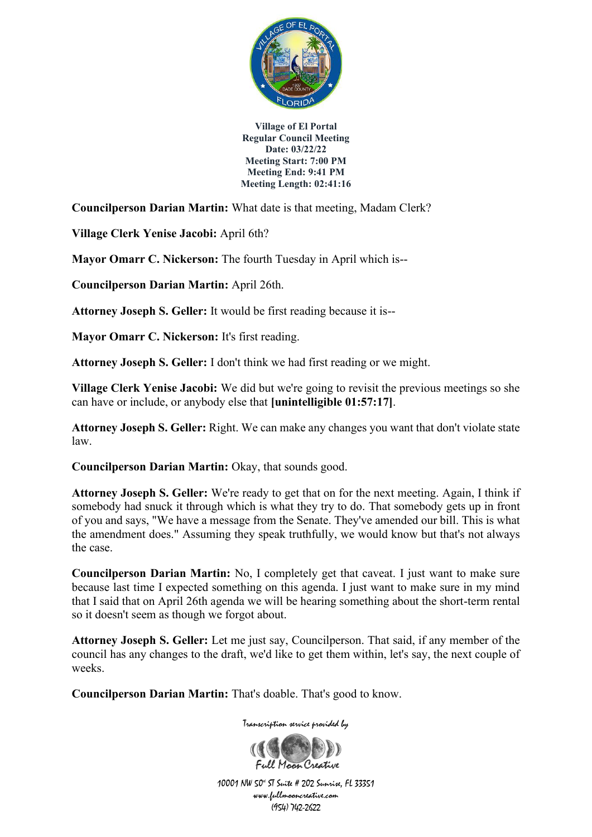

**Councilperson Darian Martin:** What date is that meeting, Madam Clerk?

**Village Clerk Yenise Jacobi:** April 6th?

**Mayor Omarr C. Nickerson:** The fourth Tuesday in April which is--

**Councilperson Darian Martin:** April 26th.

**Attorney Joseph S. Geller:** It would be first reading because it is--

**Mayor Omarr C. Nickerson:** It's first reading.

**Attorney Joseph S. Geller:** I don't think we had first reading or we might.

**Village Clerk Yenise Jacobi:** We did but we're going to revisit the previous meetings so she can have or include, or anybody else that **[unintelligible 01:57:17]**.

**Attorney Joseph S. Geller:** Right. We can make any changes you want that don't violate state law.

**Councilperson Darian Martin:** Okay, that sounds good.

**Attorney Joseph S. Geller:** We're ready to get that on for the next meeting. Again, I think if somebody had snuck it through which is what they try to do. That somebody gets up in front of you and says, "We have a message from the Senate. They've amended our bill. This is what the amendment does." Assuming they speak truthfully, we would know but that's not always the case.

**Councilperson Darian Martin:** No, I completely get that caveat. I just want to make sure because last time I expected something on this agenda. I just want to make sure in my mind that I said that on April 26th agenda we will be hearing something about the short-term rental so it doesn't seem as though we forgot about.

**Attorney Joseph S. Geller:** Let me just say, Councilperson. That said, if any member of the council has any changes to the draft, we'd like to get them within, let's say, the next couple of weeks.

**Councilperson Darian Martin:** That's doable. That's good to know.

Transcription service provided by

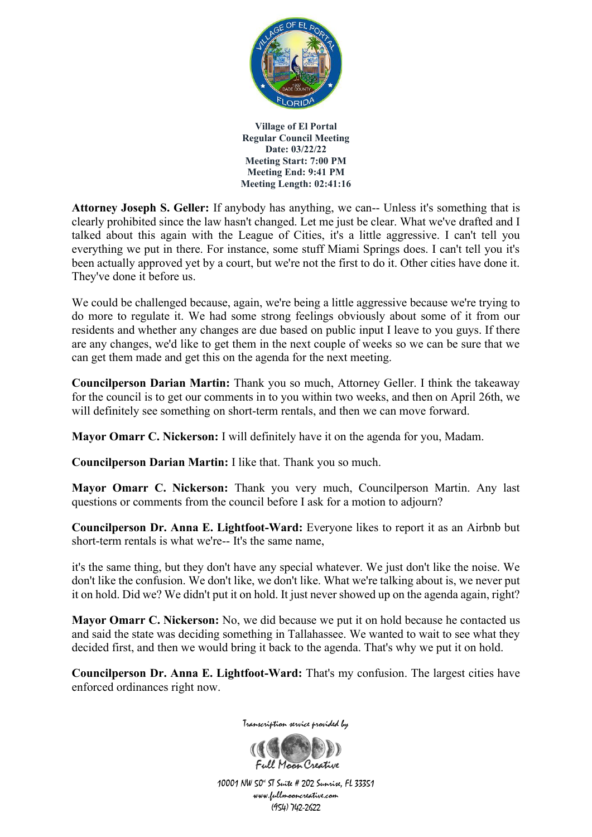

**Attorney Joseph S. Geller:** If anybody has anything, we can-- Unless it's something that is clearly prohibited since the law hasn't changed. Let me just be clear. What we've drafted and I talked about this again with the League of Cities, it's a little aggressive. I can't tell you everything we put in there. For instance, some stuff Miami Springs does. I can't tell you it's been actually approved yet by a court, but we're not the first to do it. Other cities have done it. They've done it before us.

We could be challenged because, again, we're being a little aggressive because we're trying to do more to regulate it. We had some strong feelings obviously about some of it from our residents and whether any changes are due based on public input I leave to you guys. If there are any changes, we'd like to get them in the next couple of weeks so we can be sure that we can get them made and get this on the agenda for the next meeting.

**Councilperson Darian Martin:** Thank you so much, Attorney Geller. I think the takeaway for the council is to get our comments in to you within two weeks, and then on April 26th, we will definitely see something on short-term rentals, and then we can move forward.

**Mayor Omarr C. Nickerson:** I will definitely have it on the agenda for you, Madam.

**Councilperson Darian Martin:** I like that. Thank you so much.

**Mayor Omarr C. Nickerson:** Thank you very much, Councilperson Martin. Any last questions or comments from the council before I ask for a motion to adjourn?

**Councilperson Dr. Anna E. Lightfoot-Ward:** Everyone likes to report it as an Airbnb but short-term rentals is what we're-- It's the same name,

it's the same thing, but they don't have any special whatever. We just don't like the noise. We don't like the confusion. We don't like, we don't like. What we're talking about is, we never put it on hold. Did we? We didn't put it on hold. It just never showed up on the agenda again, right?

**Mayor Omarr C. Nickerson:** No, we did because we put it on hold because he contacted us and said the state was deciding something in Tallahassee. We wanted to wait to see what they decided first, and then we would bring it back to the agenda. That's why we put it on hold.

**Councilperson Dr. Anna E. Lightfoot-Ward:** That's my confusion. The largest cities have enforced ordinances right now.



Transcription service provided by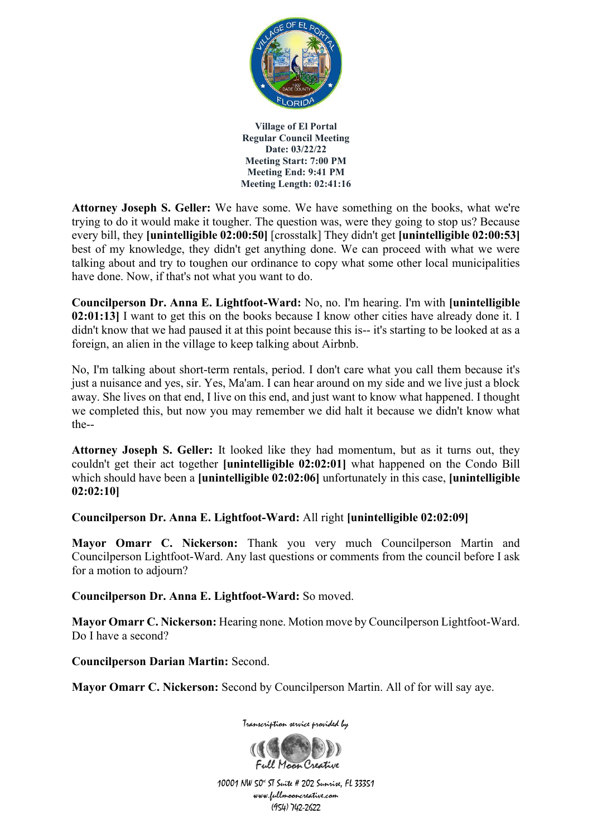

**Attorney Joseph S. Geller:** We have some. We have something on the books, what we're trying to do it would make it tougher. The question was, were they going to stop us? Because every bill, they **[unintelligible 02:00:50]** [crosstalk] They didn't get **[unintelligible 02:00:53]** best of my knowledge, they didn't get anything done. We can proceed with what we were talking about and try to toughen our ordinance to copy what some other local municipalities have done. Now, if that's not what you want to do.

**Councilperson Dr. Anna E. Lightfoot-Ward:** No, no. I'm hearing. I'm with **[unintelligible 02:01:13]** I want to get this on the books because I know other cities have already done it. I didn't know that we had paused it at this point because this is-- it's starting to be looked at as a foreign, an alien in the village to keep talking about Airbnb.

No, I'm talking about short-term rentals, period. I don't care what you call them because it's just a nuisance and yes, sir. Yes, Ma'am. I can hear around on my side and we live just a block away. She lives on that end, I live on this end, and just want to know what happened. I thought we completed this, but now you may remember we did halt it because we didn't know what the--

**Attorney Joseph S. Geller:** It looked like they had momentum, but as it turns out, they couldn't get their act together **[unintelligible 02:02:01]** what happened on the Condo Bill which should have been a **[unintelligible 02:02:06]** unfortunately in this case, **[unintelligible 02:02:10]**

**Councilperson Dr. Anna E. Lightfoot-Ward:** All right **[unintelligible 02:02:09]**

**Mayor Omarr C. Nickerson:** Thank you very much Councilperson Martin and Councilperson Lightfoot-Ward. Any last questions or comments from the council before I ask for a motion to adjourn?

**Councilperson Dr. Anna E. Lightfoot-Ward:** So moved.

**Mayor Omarr C. Nickerson:** Hearing none. Motion move by Councilperson Lightfoot-Ward. Do I have a second?

**Councilperson Darian Martin:** Second.

**Mayor Omarr C. Nickerson:** Second by Councilperson Martin. All of for will say aye.



Transcription service provided by